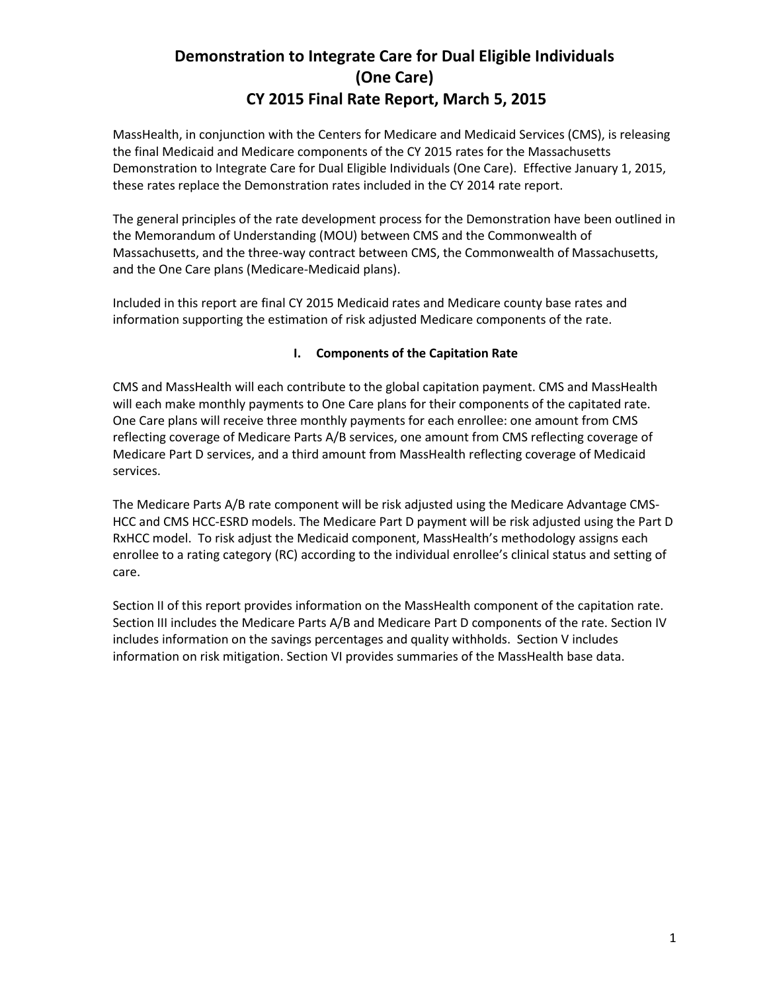MassHealth, in conjunction with the Centers for Medicare and Medicaid Services (CMS), is releasing the final Medicaid and Medicare components of the CY 2015 rates for the Massachusetts Demonstration to Integrate Care for Dual Eligible Individuals (One Care). Effective January 1, 2015, these rates replace the Demonstration rates included in the CY 2014 rate report.

The general principles of the rate development process for the Demonstration have been outlined in the Memorandum of Understanding (MOU) between CMS and the Commonwealth of Massachusetts, and the three-way contract between CMS, the Commonwealth of Massachusetts, and the One Care plans (Medicare-Medicaid plans).

Included in this report are final CY 2015 Medicaid rates and Medicare county base rates and information supporting the estimation of risk adjusted Medicare components of the rate.

### **I. Components of the Capitation Rate**

CMS and MassHealth will each contribute to the global capitation payment. CMS and MassHealth will each make monthly payments to One Care plans for their components of the capitated rate. One Care plans will receive three monthly payments for each enrollee: one amount from CMS reflecting coverage of Medicare Parts A/B services, one amount from CMS reflecting coverage of Medicare Part D services, and a third amount from MassHealth reflecting coverage of Medicaid services.

The Medicare Parts A/B rate component will be risk adjusted using the Medicare Advantage CMS-HCC and CMS HCC-ESRD models. The Medicare Part D payment will be risk adjusted using the Part D RxHCC model. To risk adjust the Medicaid component, MassHealth's methodology assigns each enrollee to a rating category (RC) according to the individual enrollee's clinical status and setting of care.

Section II of this report provides information on the MassHealth component of the capitation rate. Section III includes the Medicare Parts A/B and Medicare Part D components of the rate. Section IV includes information on the savings percentages and quality withholds. Section V includes information on risk mitigation. Section VI provides summaries of the MassHealth base data.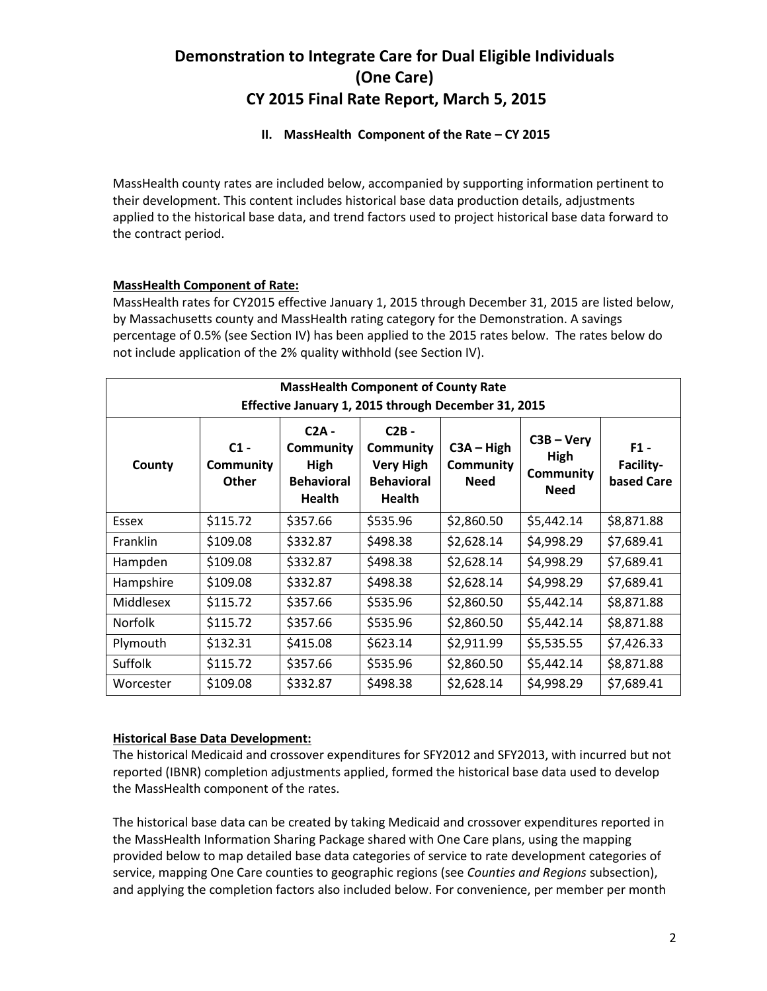### **II. MassHealth Component of the Rate – CY 2015**

MassHealth county rates are included below, accompanied by supporting information pertinent to their development. This content includes historical base data production details, adjustments applied to the historical base data, and trend factors used to project historical base data forward to the contract period.

### **MassHealth Component of Rate:**

MassHealth rates for CY2015 effective January 1, 2015 through December 31, 2015 are listed below, by Massachusetts county and MassHealth rating category for the Demonstration. A savings percentage of 0.5% (see Section IV) has been applied to the 2015 rates below. The rates below do not include application of the 2% quality withhold (see Section IV).

| <b>MassHealth Component of County Rate</b><br>Effective January 1, 2015 through December 31, 2015                                                                                                                                                                                                                                                 |          |          |          |            |            |            |  |
|---------------------------------------------------------------------------------------------------------------------------------------------------------------------------------------------------------------------------------------------------------------------------------------------------------------------------------------------------|----------|----------|----------|------------|------------|------------|--|
| $C2A -$<br>$C2B -$<br>$C3B - Very$<br>$C1 -$<br>$C3A - High$<br><b>Community</b><br>$F1 -$<br><b>Community</b><br>High<br>Facility-<br>County<br>Community<br>High<br><b>Very High</b><br>Community<br>Community<br><b>Behavioral</b><br>Other<br><b>Behavioral</b><br><b>Need</b><br>based Care<br><b>Need</b><br><b>Health</b><br><b>Health</b> |          |          |          |            |            |            |  |
| Essex                                                                                                                                                                                                                                                                                                                                             | \$115.72 | \$357.66 | \$535.96 | \$2,860.50 | \$5,442.14 | \$8,871.88 |  |
| Franklin                                                                                                                                                                                                                                                                                                                                          | \$109.08 | \$332.87 | \$498.38 | \$2,628.14 | \$4,998.29 | \$7,689.41 |  |
| Hampden                                                                                                                                                                                                                                                                                                                                           | \$109.08 | \$332.87 | \$498.38 | \$2,628.14 | \$4,998.29 | \$7,689.41 |  |
| Hampshire                                                                                                                                                                                                                                                                                                                                         | \$109.08 | \$332.87 | \$498.38 | \$2,628.14 | \$4,998.29 | \$7,689.41 |  |
| Middlesex                                                                                                                                                                                                                                                                                                                                         | \$115.72 | \$357.66 | \$535.96 | \$2,860.50 | \$5,442.14 | \$8,871.88 |  |
| <b>Norfolk</b>                                                                                                                                                                                                                                                                                                                                    | \$115.72 | \$357.66 | \$535.96 | \$2,860.50 | \$5,442.14 | \$8,871.88 |  |
| Plymouth                                                                                                                                                                                                                                                                                                                                          | \$132.31 | \$415.08 | \$623.14 | \$2,911.99 | \$5,535.55 | \$7,426.33 |  |
| Suffolk                                                                                                                                                                                                                                                                                                                                           | \$115.72 | \$357.66 | \$535.96 | \$2,860.50 | \$5,442.14 | \$8,871.88 |  |
| Worcester                                                                                                                                                                                                                                                                                                                                         | \$109.08 | \$332.87 | \$498.38 | \$2,628.14 | \$4,998.29 | \$7,689.41 |  |

### **Historical Base Data Development:**

The historical Medicaid and crossover expenditures for SFY2012 and SFY2013, with incurred but not reported (IBNR) completion adjustments applied, formed the historical base data used to develop the MassHealth component of the rates.

The historical base data can be created by taking Medicaid and crossover expenditures reported in the MassHealth Information Sharing Package shared with One Care plans, using the mapping provided below to map detailed base data categories of service to rate development categories of service, mapping One Care counties to geographic regions (see *Counties and Regions* subsection), and applying the completion factors also included below. For convenience, per member per month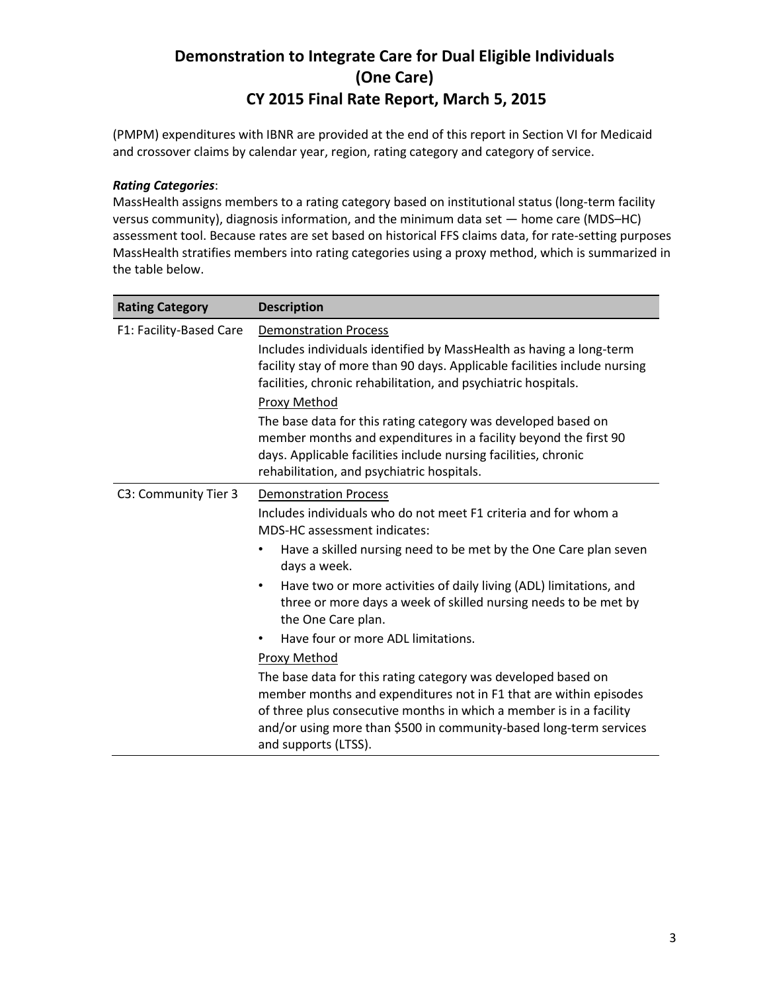(PMPM) expenditures with IBNR are provided at the end of this report in Section VI for Medicaid and crossover claims by calendar year, region, rating category and category of service.

### *Rating Categories*:

MassHealth assigns members to a rating category based on institutional status (long-term facility versus community), diagnosis information, and the minimum data set — home care (MDS–HC) assessment tool. Because rates are set based on historical FFS claims data, for rate-setting purposes MassHealth stratifies members into rating categories using a proxy method, which is summarized in the table below.

| <b>Rating Category</b>  | <b>Description</b>                                                                                                                                                                                                                                                                                      |  |  |  |
|-------------------------|---------------------------------------------------------------------------------------------------------------------------------------------------------------------------------------------------------------------------------------------------------------------------------------------------------|--|--|--|
| F1: Facility-Based Care | <b>Demonstration Process</b>                                                                                                                                                                                                                                                                            |  |  |  |
|                         | Includes individuals identified by MassHealth as having a long-term<br>facility stay of more than 90 days. Applicable facilities include nursing<br>facilities, chronic rehabilitation, and psychiatric hospitals.                                                                                      |  |  |  |
|                         | Proxy Method<br>The base data for this rating category was developed based on<br>member months and expenditures in a facility beyond the first 90<br>days. Applicable facilities include nursing facilities, chronic<br>rehabilitation, and psychiatric hospitals.                                      |  |  |  |
| C3: Community Tier 3    | <b>Demonstration Process</b>                                                                                                                                                                                                                                                                            |  |  |  |
|                         | Includes individuals who do not meet F1 criteria and for whom a<br>MDS-HC assessment indicates:                                                                                                                                                                                                         |  |  |  |
|                         | Have a skilled nursing need to be met by the One Care plan seven<br>$\bullet$<br>days a week.                                                                                                                                                                                                           |  |  |  |
|                         | Have two or more activities of daily living (ADL) limitations, and<br>$\bullet$<br>three or more days a week of skilled nursing needs to be met by<br>the One Care plan.                                                                                                                                |  |  |  |
|                         | Have four or more ADL limitations.                                                                                                                                                                                                                                                                      |  |  |  |
|                         | Proxy Method                                                                                                                                                                                                                                                                                            |  |  |  |
|                         | The base data for this rating category was developed based on<br>member months and expenditures not in F1 that are within episodes<br>of three plus consecutive months in which a member is in a facility<br>and/or using more than \$500 in community-based long-term services<br>and supports (LTSS). |  |  |  |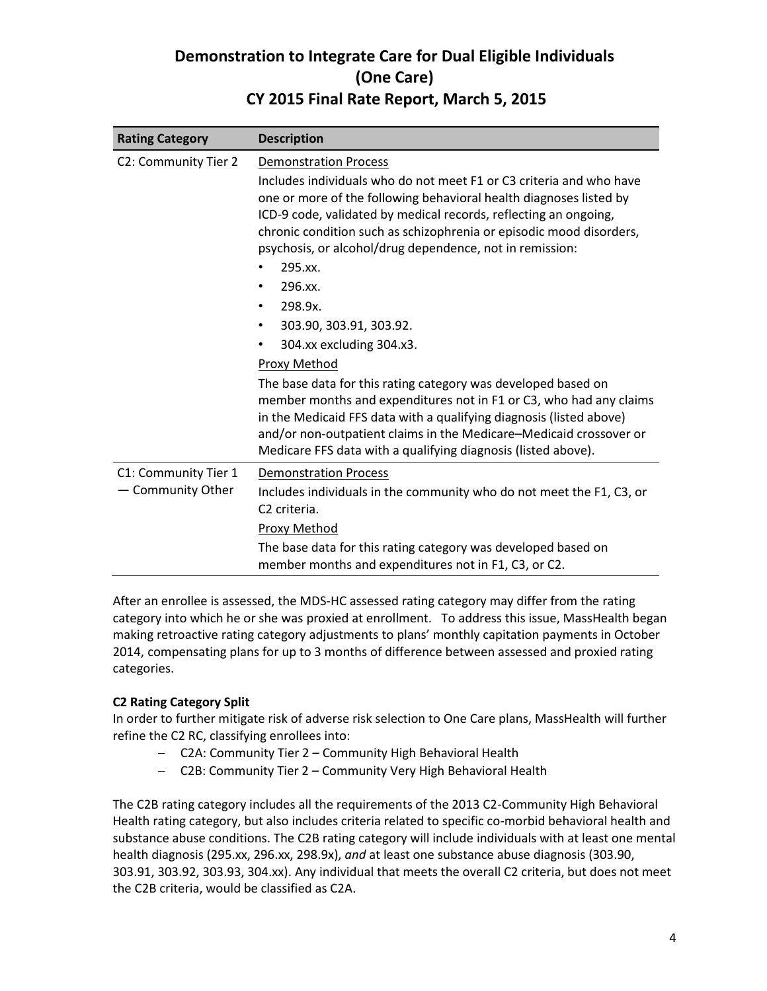| <b>Rating Category</b>                                            | <b>Description</b>                                                                                                                                                                                                                                                                                                                                                                                                                                                                                                                                                                                                                                                                                                                                                                                                                                                                |  |  |
|-------------------------------------------------------------------|-----------------------------------------------------------------------------------------------------------------------------------------------------------------------------------------------------------------------------------------------------------------------------------------------------------------------------------------------------------------------------------------------------------------------------------------------------------------------------------------------------------------------------------------------------------------------------------------------------------------------------------------------------------------------------------------------------------------------------------------------------------------------------------------------------------------------------------------------------------------------------------|--|--|
| C2: Community Tier 2                                              | <b>Demonstration Process</b><br>Includes individuals who do not meet F1 or C3 criteria and who have<br>one or more of the following behavioral health diagnoses listed by<br>ICD-9 code, validated by medical records, reflecting an ongoing,<br>chronic condition such as schizophrenia or episodic mood disorders,<br>psychosis, or alcohol/drug dependence, not in remission:<br>295.xx.<br>296.xx.<br>٠<br>298.9x.<br>$\bullet$<br>303.90, 303.91, 303.92.<br>$\bullet$<br>304.xx excluding 304.x3.<br>٠<br>Proxy Method<br>The base data for this rating category was developed based on<br>member months and expenditures not in F1 or C3, who had any claims<br>in the Medicaid FFS data with a qualifying diagnosis (listed above)<br>and/or non-outpatient claims in the Medicare-Medicaid crossover or<br>Medicare FFS data with a qualifying diagnosis (listed above). |  |  |
| C1: Community Tier 1<br>Community Other<br>$\qquad \qquad \qquad$ | <b>Demonstration Process</b><br>Includes individuals in the community who do not meet the F1, C3, or<br>C <sub>2</sub> criteria.<br>Proxy Method<br>The base data for this rating category was developed based on<br>member months and expenditures not in F1, C3, or C2.                                                                                                                                                                                                                                                                                                                                                                                                                                                                                                                                                                                                         |  |  |

After an enrollee is assessed, the MDS-HC assessed rating category may differ from the rating category into which he or she was proxied at enrollment. To address this issue, MassHealth began making retroactive rating category adjustments to plans' monthly capitation payments in October 2014, compensating plans for up to 3 months of difference between assessed and proxied rating categories.

### **C2 Rating Category Split**

In order to further mitigate risk of adverse risk selection to One Care plans, MassHealth will further refine the C2 RC, classifying enrollees into:

- C2A: Community Tier 2 Community High Behavioral Health
- C2B: Community Tier 2 Community Very High Behavioral Health

The C2B rating category includes all the requirements of the 2013 C2-Community High Behavioral Health rating category, but also includes criteria related to specific co-morbid behavioral health and substance abuse conditions. The C2B rating category will include individuals with at least one mental health diagnosis (295.xx, 296.xx, 298.9x), *and* at least one substance abuse diagnosis (303.90, 303.91, 303.92, 303.93, 304.xx). Any individual that meets the overall C2 criteria, but does not meet the C2B criteria, would be classified as C2A.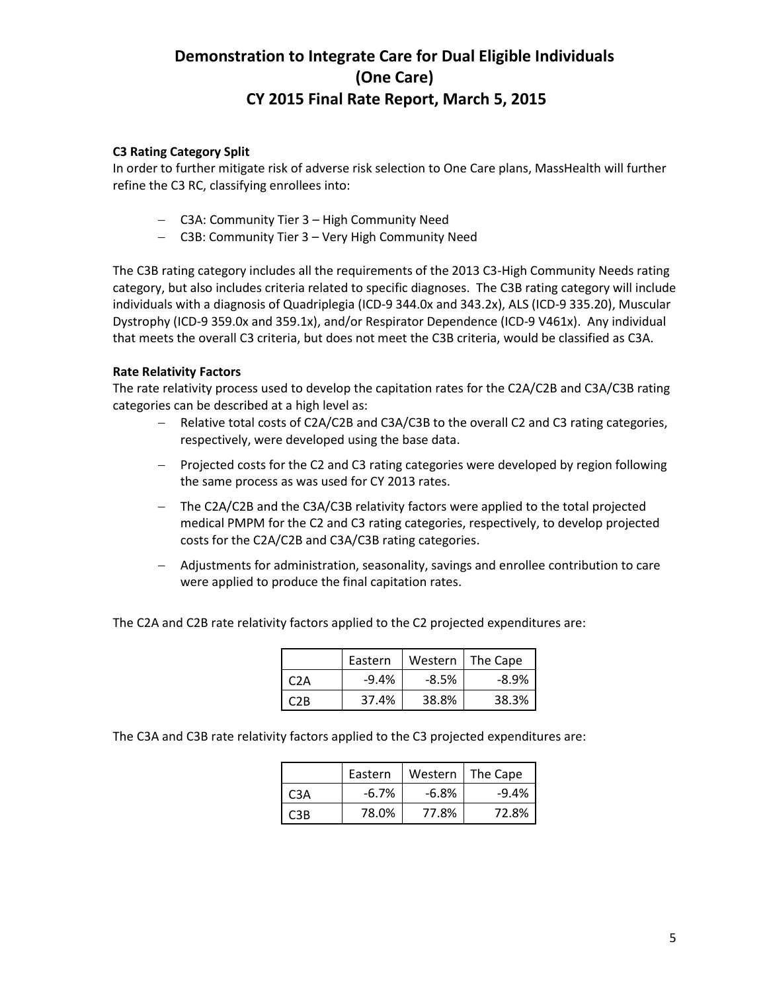### **C3 Rating Category Split**

In order to further mitigate risk of adverse risk selection to One Care plans, MassHealth will further refine the C3 RC, classifying enrollees into:

- C3A: Community Tier 3 High Community Need
- C3B: Community Tier 3 Very High Community Need

The C3B rating category includes all the requirements of the 2013 C3-High Community Needs rating category, but also includes criteria related to specific diagnoses. The C3B rating category will include individuals with a diagnosis of Quadriplegia (ICD-9 344.0x and 343.2x), ALS (ICD-9 335.20), Muscular Dystrophy (ICD-9 359.0x and 359.1x), and/or Respirator Dependence (ICD-9 V461x). Any individual that meets the overall C3 criteria, but does not meet the C3B criteria, would be classified as C3A.

### **Rate Relativity Factors**

The rate relativity process used to develop the capitation rates for the C2A/C2B and C3A/C3B rating categories can be described at a high level as:

- Relative total costs of C2A/C2B and C3A/C3B to the overall C2 and C3 rating categories, respectively, were developed using the base data.
- Projected costs for the C2 and C3 rating categories were developed by region following the same process as was used for CY 2013 rates.
- The C2A/C2B and the C3A/C3B relativity factors were applied to the total projected medical PMPM for the C2 and C3 rating categories, respectively, to develop projected costs for the C2A/C2B and C3A/C3B rating categories.
- Adjustments for administration, seasonality, savings and enrollee contribution to care were applied to produce the final capitation rates.

The C2A and C2B rate relativity factors applied to the C2 projected expenditures are:

|     | Eastern | Western | The Cape |
|-----|---------|---------|----------|
| C2A | $-9.4%$ | -8.5%   | $-8.9%$  |
| 7R  | 37.4%   | 38.8%   | 38.3%    |

The C3A and C3B rate relativity factors applied to the C3 projected expenditures are:

|     | Eastern | Western | The Cape |
|-----|---------|---------|----------|
| C3A | $-6.7%$ | $-6.8%$ | $-9.4%$  |
| CR  | 78.0%   | 77.8%   | 72.8%    |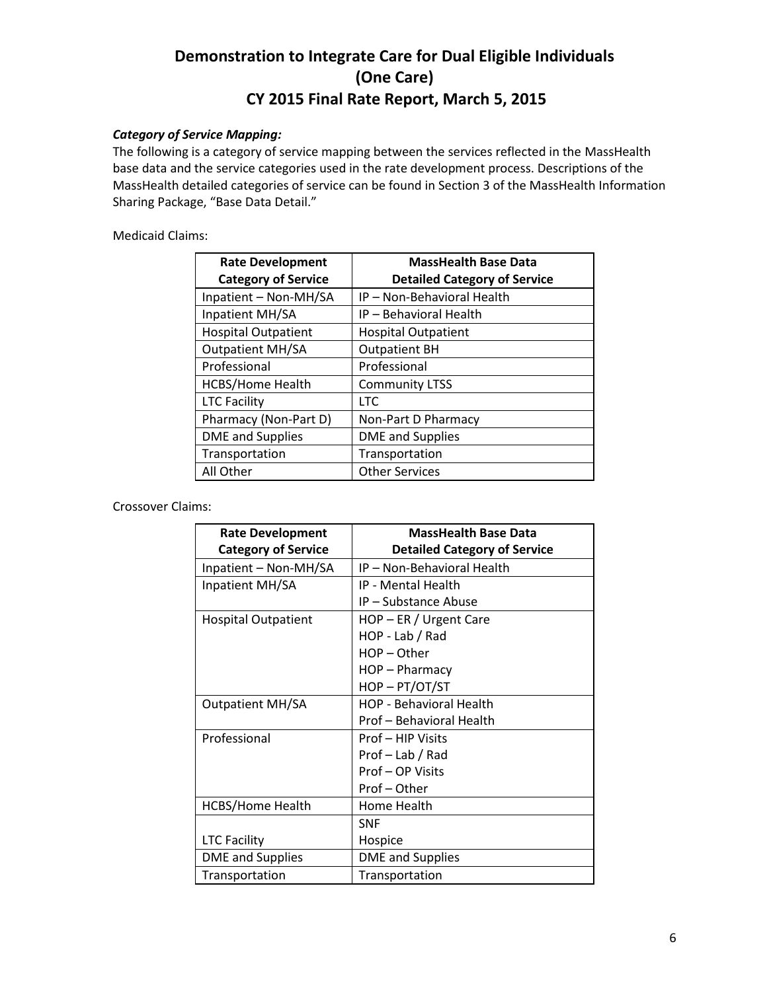### *Category of Service Mapping:*

The following is a category of service mapping between the services reflected in the MassHealth base data and the service categories used in the rate development process. Descriptions of the MassHealth detailed categories of service can be found in Section 3 of the MassHealth Information Sharing Package, "Base Data Detail."

Medicaid Claims:

| <b>Rate Development</b>    | <b>MassHealth Base Data</b>         |  |  |
|----------------------------|-------------------------------------|--|--|
| <b>Category of Service</b> | <b>Detailed Category of Service</b> |  |  |
| Inpatient - Non-MH/SA      | IP - Non-Behavioral Health          |  |  |
| Inpatient MH/SA            | IP - Behavioral Health              |  |  |
| <b>Hospital Outpatient</b> | <b>Hospital Outpatient</b>          |  |  |
| <b>Outpatient MH/SA</b>    | <b>Outpatient BH</b>                |  |  |
| Professional               | Professional                        |  |  |
| <b>HCBS/Home Health</b>    | <b>Community LTSS</b>               |  |  |
| <b>LTC Facility</b>        | <b>LTC</b>                          |  |  |
| Pharmacy (Non-Part D)      | Non-Part D Pharmacy                 |  |  |
| <b>DME</b> and Supplies    | <b>DME</b> and Supplies             |  |  |
| Transportation             | Transportation                      |  |  |
| All Other                  | <b>Other Services</b>               |  |  |

Crossover Claims:

| <b>Rate Development</b>    | <b>MassHealth Base Data</b>         |  |  |
|----------------------------|-------------------------------------|--|--|
| <b>Category of Service</b> | <b>Detailed Category of Service</b> |  |  |
| Inpatient - Non-MH/SA      | IP - Non-Behavioral Health          |  |  |
| Inpatient MH/SA            | <b>IP - Mental Health</b>           |  |  |
|                            | IP - Substance Abuse                |  |  |
| <b>Hospital Outpatient</b> | HOP - ER / Urgent Care              |  |  |
|                            | HOP - Lab / Rad                     |  |  |
|                            | HOP-Other                           |  |  |
|                            | HOP - Pharmacy                      |  |  |
|                            | HOP-PT/OT/ST                        |  |  |
| <b>Outpatient MH/SA</b>    | <b>HOP - Behavioral Health</b>      |  |  |
|                            | Prof - Behavioral Health            |  |  |
| Professional               | Prof - HIP Visits                   |  |  |
|                            | Prof - Lab / Rad                    |  |  |
|                            | Prof-OP Visits                      |  |  |
|                            | Prof-Other                          |  |  |
| <b>HCBS/Home Health</b>    | Home Health                         |  |  |
|                            | <b>SNF</b>                          |  |  |
| <b>LTC Facility</b>        | Hospice                             |  |  |
| <b>DME</b> and Supplies    | <b>DME</b> and Supplies             |  |  |
| Transportation             | Transportation                      |  |  |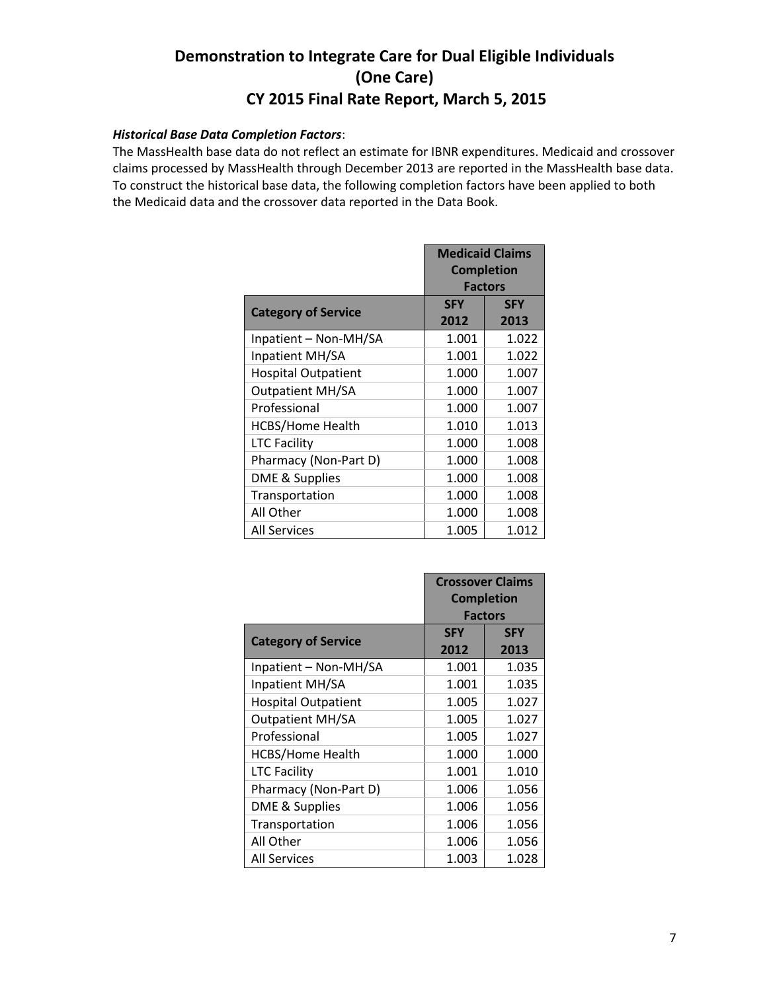#### *Historical Base Data Completion Factors*:

The MassHealth base data do not reflect an estimate for IBNR expenditures. Medicaid and crossover claims processed by MassHealth through December 2013 are reported in the MassHealth base data. To construct the historical base data, the following completion factors have been applied to both the Medicaid data and the crossover data reported in the Data Book.

| <b>Medicaid Claims</b><br><b>Completion</b><br><b>Factors</b> |                    |                    |
|---------------------------------------------------------------|--------------------|--------------------|
| <b>Category of Service</b>                                    | <b>SFY</b><br>2012 | <b>SFY</b><br>2013 |
| Inpatient - Non-MH/SA                                         | 1.001              | 1.022              |
| Inpatient MH/SA                                               | 1.001              | 1.022              |
| <b>Hospital Outpatient</b>                                    | 1.000              | 1.007              |
| <b>Outpatient MH/SA</b>                                       | 1.000              | 1.007              |
| Professional                                                  | 1.000              | 1.007              |
| HCBS/Home Health                                              | 1.010              | 1.013              |
| <b>LTC Facility</b>                                           | 1.000              | 1.008              |
| Pharmacy (Non-Part D)                                         | 1.000              | 1.008              |
| DME & Supplies                                                | 1.000              | 1.008              |
| Transportation                                                | 1.000              | 1.008              |
| All Other                                                     | 1.000              | 1.008              |
| All Services                                                  | 1.005              | 1.012              |

|                            | <b>Crossover Claims</b> |            |  |
|----------------------------|-------------------------|------------|--|
|                            | <b>Completion</b>       |            |  |
|                            | <b>Factors</b>          |            |  |
| <b>Category of Service</b> | <b>SFY</b>              | <b>SFY</b> |  |
|                            | 2012                    | 2013       |  |
| Inpatient - Non-MH/SA      | 1.001                   | 1.035      |  |
| Inpatient MH/SA            | 1.001                   | 1.035      |  |
| <b>Hospital Outpatient</b> | 1.005                   | 1.027      |  |
| <b>Outpatient MH/SA</b>    | 1.005                   | 1.027      |  |
| Professional               | 1.005                   | 1.027      |  |
| <b>HCBS/Home Health</b>    | 1.000                   | 1.000      |  |
| <b>LTC Facility</b>        | 1.001                   | 1.010      |  |
| Pharmacy (Non-Part D)      | 1.006                   | 1.056      |  |
| DME & Supplies             | 1.006                   | 1.056      |  |
| Transportation             | 1.006                   | 1.056      |  |
| All Other                  | 1.006<br>1.056          |            |  |
| <b>All Services</b>        | 1.003                   | 1.028      |  |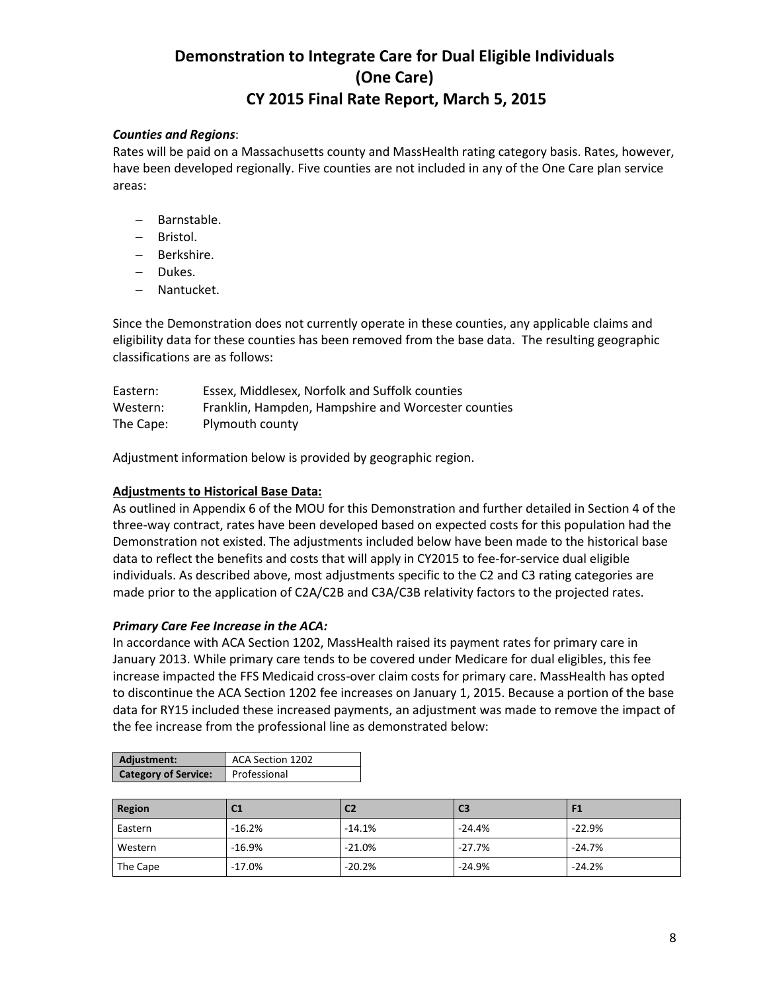### *Counties and Regions*:

Rates will be paid on a Massachusetts county and MassHealth rating category basis. Rates, however, have been developed regionally. Five counties are not included in any of the One Care plan service areas:

- Barnstable.
- Bristol.
- Berkshire.
- Dukes.
- Nantucket.

Since the Demonstration does not currently operate in these counties, any applicable claims and eligibility data for these counties has been removed from the base data. The resulting geographic classifications are as follows:

| Eastern:  | Essex, Middlesex, Norfolk and Suffolk counties      |
|-----------|-----------------------------------------------------|
| Western:  | Franklin, Hampden, Hampshire and Worcester counties |
| The Cape: | Plymouth county                                     |

Adjustment information below is provided by geographic region.

### **Adjustments to Historical Base Data:**

As outlined in Appendix 6 of the MOU for this Demonstration and further detailed in Section 4 of the three-way contract, rates have been developed based on expected costs for this population had the Demonstration not existed. The adjustments included below have been made to the historical base data to reflect the benefits and costs that will apply in CY2015 to fee-for-service dual eligible individuals. As described above, most adjustments specific to the C2 and C3 rating categories are made prior to the application of C2A/C2B and C3A/C3B relativity factors to the projected rates.

#### *Primary Care Fee Increase in the ACA:*

In accordance with ACA Section 1202, MassHealth raised its payment rates for primary care in January 2013. While primary care tends to be covered under Medicare for dual eligibles, this fee increase impacted the FFS Medicaid cross-over claim costs for primary care. MassHealth has opted to discontinue the ACA Section 1202 fee increases on January 1, 2015. Because a portion of the base data for RY15 included these increased payments, an adjustment was made to remove the impact of the fee increase from the professional line as demonstrated below:

| Adjustment:                 | ACA Section 1202 |  |
|-----------------------------|------------------|--|
| <b>Category of Service:</b> | Professional     |  |

| <b>Region</b> | C <sub>1</sub> | C <sub>2</sub> | C <sub>3</sub> | F1       |
|---------------|----------------|----------------|----------------|----------|
| Eastern       | $-16.2%$       | $-14.1%$       | $-24.4%$       | $-22.9%$ |
| Western       | $-16.9%$       | $-21.0%$       | $-27.7%$       | $-24.7%$ |
| The Cape      | $-17.0%$       | $-20.2%$       | $-24.9%$       | $-24.2%$ |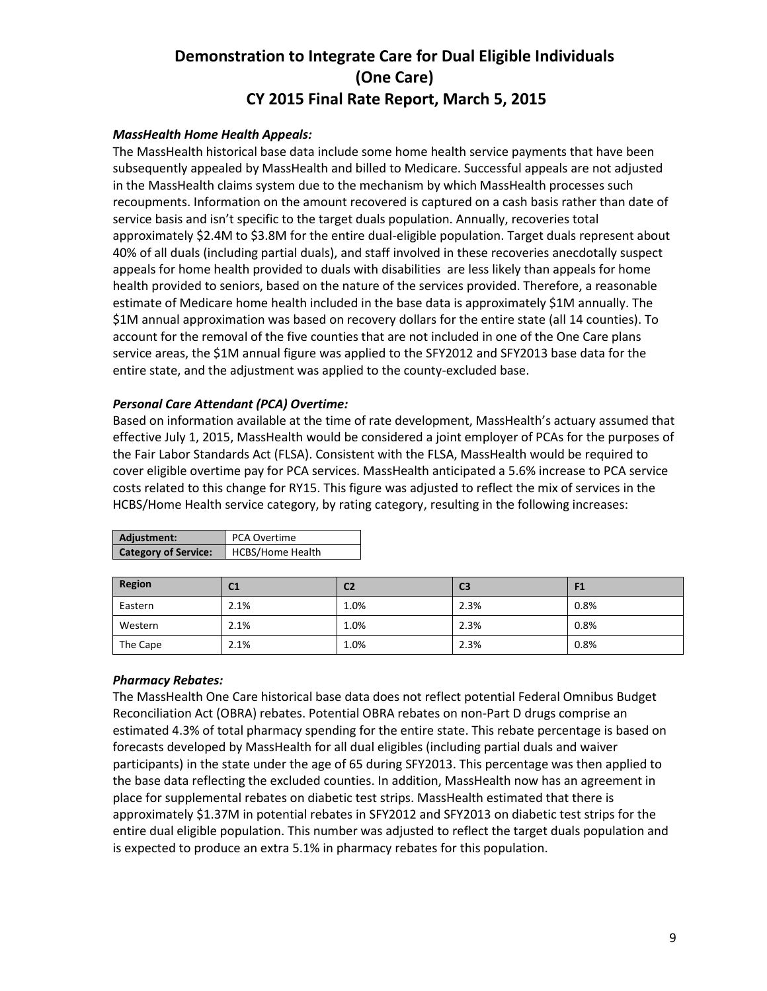### *MassHealth Home Health Appeals:*

The MassHealth historical base data include some home health service payments that have been subsequently appealed by MassHealth and billed to Medicare. Successful appeals are not adjusted in the MassHealth claims system due to the mechanism by which MassHealth processes such recoupments. Information on the amount recovered is captured on a cash basis rather than date of service basis and isn't specific to the target duals population. Annually, recoveries total approximately \$2.4M to \$3.8M for the entire dual-eligible population. Target duals represent about 40% of all duals (including partial duals), and staff involved in these recoveries anecdotally suspect appeals for home health provided to duals with disabilities are less likely than appeals for home health provided to seniors, based on the nature of the services provided. Therefore, a reasonable estimate of Medicare home health included in the base data is approximately \$1M annually. The \$1M annual approximation was based on recovery dollars for the entire state (all 14 counties). To account for the removal of the five counties that are not included in one of the One Care plans service areas, the \$1M annual figure was applied to the SFY2012 and SFY2013 base data for the entire state, and the adjustment was applied to the county-excluded base.

#### *Personal Care Attendant (PCA) Overtime:*

Based on information available at the time of rate development, MassHealth's actuary assumed that effective July 1, 2015, MassHealth would be considered a joint employer of PCAs for the purposes of the Fair Labor Standards Act (FLSA). Consistent with the FLSA, MassHealth would be required to cover eligible overtime pay for PCA services. MassHealth anticipated a 5.6% increase to PCA service costs related to this change for RY15. This figure was adjusted to reflect the mix of services in the HCBS/Home Health service category, by rating category, resulting in the following increases:

| Adjustment:                 | PCA Overtime            |
|-----------------------------|-------------------------|
| <b>Category of Service:</b> | <b>HCBS/Home Health</b> |
|                             |                         |

| <b>Region</b> | C <sub>1</sub> | C <sub>2</sub> | C <sub>3</sub> | F <sub>1</sub> |
|---------------|----------------|----------------|----------------|----------------|
| Eastern       | 2.1%           | $1.0\%$        | 2.3%           | 0.8%           |
| Western       | 2.1%           | 1.0%           | 2.3%           | 0.8%           |
| The Cape      | 2.1%           | $1.0\%$        | 2.3%           | 0.8%           |

### *Pharmacy Rebates:*

The MassHealth One Care historical base data does not reflect potential Federal Omnibus Budget Reconciliation Act (OBRA) rebates. Potential OBRA rebates on non-Part D drugs comprise an estimated 4.3% of total pharmacy spending for the entire state. This rebate percentage is based on forecasts developed by MassHealth for all dual eligibles (including partial duals and waiver participants) in the state under the age of 65 during SFY2013. This percentage was then applied to the base data reflecting the excluded counties. In addition, MassHealth now has an agreement in place for supplemental rebates on diabetic test strips. MassHealth estimated that there is approximately \$1.37M in potential rebates in SFY2012 and SFY2013 on diabetic test strips for the entire dual eligible population. This number was adjusted to reflect the target duals population and is expected to produce an extra 5.1% in pharmacy rebates for this population.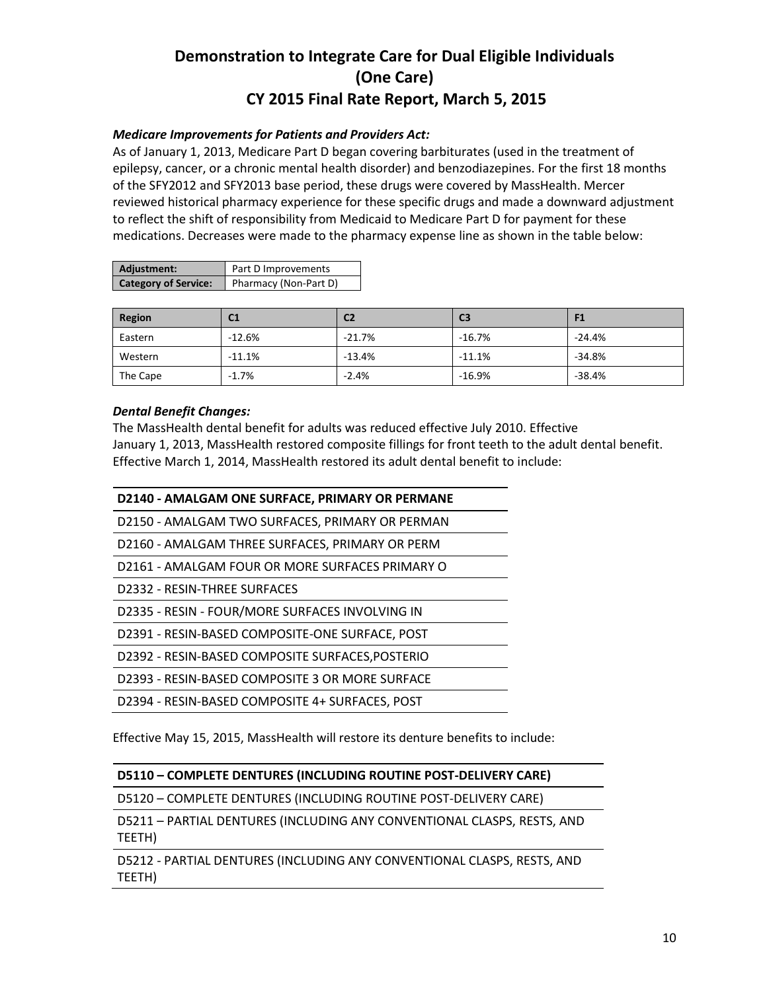### *Medicare Improvements for Patients and Providers Act:*

As of January 1, 2013, Medicare Part D began covering barbiturates (used in the treatment of epilepsy, cancer, or a chronic mental health disorder) and benzodiazepines. For the first 18 months of the SFY2012 and SFY2013 base period, these drugs were covered by MassHealth. Mercer reviewed historical pharmacy experience for these specific drugs and made a downward adjustment to reflect the shift of responsibility from Medicaid to Medicare Part D for payment for these medications. Decreases were made to the pharmacy expense line as shown in the table below:

| Adjustment:                 | Part D Improvements   |
|-----------------------------|-----------------------|
| <b>Category of Service:</b> | Pharmacy (Non-Part D) |

| Region   | C1       | C <sub>2</sub> | C <sub>3</sub> | F <sub>1</sub> |
|----------|----------|----------------|----------------|----------------|
| Eastern  | $-12.6%$ | $-21.7%$       | $-16.7%$       | $-24.4%$       |
| Western  | $-11.1%$ | $-13.4%$       | $-11.1%$       | $-34.8%$       |
| The Cape | $-1.7%$  | $-2.4%$        | $-16.9%$       | $-38.4%$       |

### *Dental Benefit Changes:*

The MassHealth dental benefit for adults was reduced effective July 2010. Effective January 1, 2013, MassHealth restored composite fillings for front teeth to the adult dental benefit. Effective March 1, 2014, MassHealth restored its adult dental benefit to include:

| D2140 - AMALGAM ONE SURFACE, PRIMARY OR PERMANE  |
|--------------------------------------------------|
| D2150 - AMALGAM TWO SURFACES, PRIMARY OR PERMAN  |
| D2160 - AMALGAM THREE SURFACES, PRIMARY OR PERM  |
| D2161 - AMALGAM FOUR OR MORE SURFACES PRIMARY O  |
| D2332 - RESIN-THREE SURFACES                     |
| D2335 - RESIN - FOUR/MORE SURFACES INVOLVING IN  |
| D2391 - RESIN-BASED COMPOSITE-ONE SURFACE, POST  |
| D2392 - RESIN-BASED COMPOSITE SURFACES, POSTERIO |
| D2393 - RESIN-BASED COMPOSITE 3 OR MORE SURFACE  |
| D2394 - RESIN-BASED COMPOSITE 4+ SURFACES, POST  |
|                                                  |

Effective May 15, 2015, MassHealth will restore its denture benefits to include:

#### **D5110 – COMPLETE DENTURES (INCLUDING ROUTINE POST-DELIVERY CARE)**

D5120 – COMPLETE DENTURES (INCLUDING ROUTINE POST-DELIVERY CARE)

D5211 – PARTIAL DENTURES (INCLUDING ANY CONVENTIONAL CLASPS, RESTS, AND TEETH)

D5212 - PARTIAL DENTURES (INCLUDING ANY CONVENTIONAL CLASPS, RESTS, AND TEETH)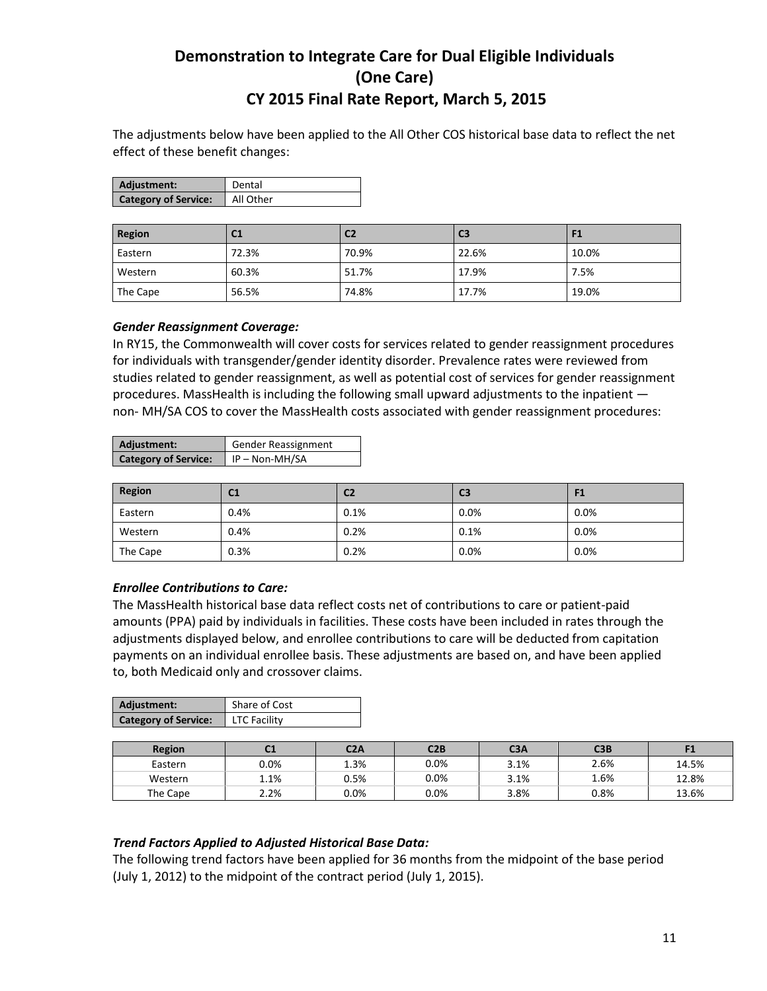The adjustments below have been applied to the All Other COS historical base data to reflect the net effect of these benefit changes:

| Adjustment:                 | Dental    |
|-----------------------------|-----------|
| <b>Category of Service:</b> | All Other |

| <b>Region</b> | C <sub>1</sub> | C <sub>2</sub> | C <sub>3</sub> | - 1   |
|---------------|----------------|----------------|----------------|-------|
| Eastern       | 72.3%          | 70.9%          | 22.6%          | 10.0% |
| Western       | 60.3%          | 51.7%          | 17.9%          | 7.5%  |
| The Cape      | 56.5%          | 74.8%          | 17.7%          | 19.0% |

#### *Gender Reassignment Coverage:*

In RY15, the Commonwealth will cover costs for services related to gender reassignment procedures for individuals with transgender/gender identity disorder. Prevalence rates were reviewed from studies related to gender reassignment, as well as potential cost of services for gender reassignment procedures. MassHealth is including the following small upward adjustments to the inpatient non- MH/SA COS to cover the MassHealth costs associated with gender reassignment procedures:

| Adjustment:                 | <b>Gender Reassignment</b> |
|-----------------------------|----------------------------|
| <b>Category of Service:</b> | IP-Non-MH/SA               |

| Region   | C <sub>1</sub> | C <sub>2</sub> | C <sub>3</sub> | F1      |
|----------|----------------|----------------|----------------|---------|
| Eastern  | 0.4%           | 0.1%           | 0.0%           | 0.0%    |
| Western  | 0.4%           | 0.2%           | 0.1%           | $0.0\%$ |
| The Cape | 0.3%           | 0.2%           | 0.0%           | 0.0%    |

#### *Enrollee Contributions to Care:*

The MassHealth historical base data reflect costs net of contributions to care or patient-paid amounts (PPA) paid by individuals in facilities. These costs have been included in rates through the adjustments displayed below, and enrollee contributions to care will be deducted from capitation payments on an individual enrollee basis. These adjustments are based on, and have been applied to, both Medicaid only and crossover claims.

| Adjustment:                 | Share of Cost |
|-----------------------------|---------------|
| <b>Category of Service:</b> | LTC Facility  |

| <b>Region</b> | u    | C2A  | C2B  | C <sub>3</sub> A | C3B  |       |
|---------------|------|------|------|------------------|------|-------|
| Eastern       | 0.0% | 1.3% | 0.0% | 3.1%             | 2.6% | 14.5% |
| Western       | 1.1% | 0.5% | 0.0% | 3.1%             | 1.6% | 12.8% |
| The Cape      | 2.2% | 0.0% | 0.0% | 3.8%             | 0.8% | 13.6% |

#### *Trend Factors Applied to Adjusted Historical Base Data:*

The following trend factors have been applied for 36 months from the midpoint of the base period (July 1, 2012) to the midpoint of the contract period (July 1, 2015).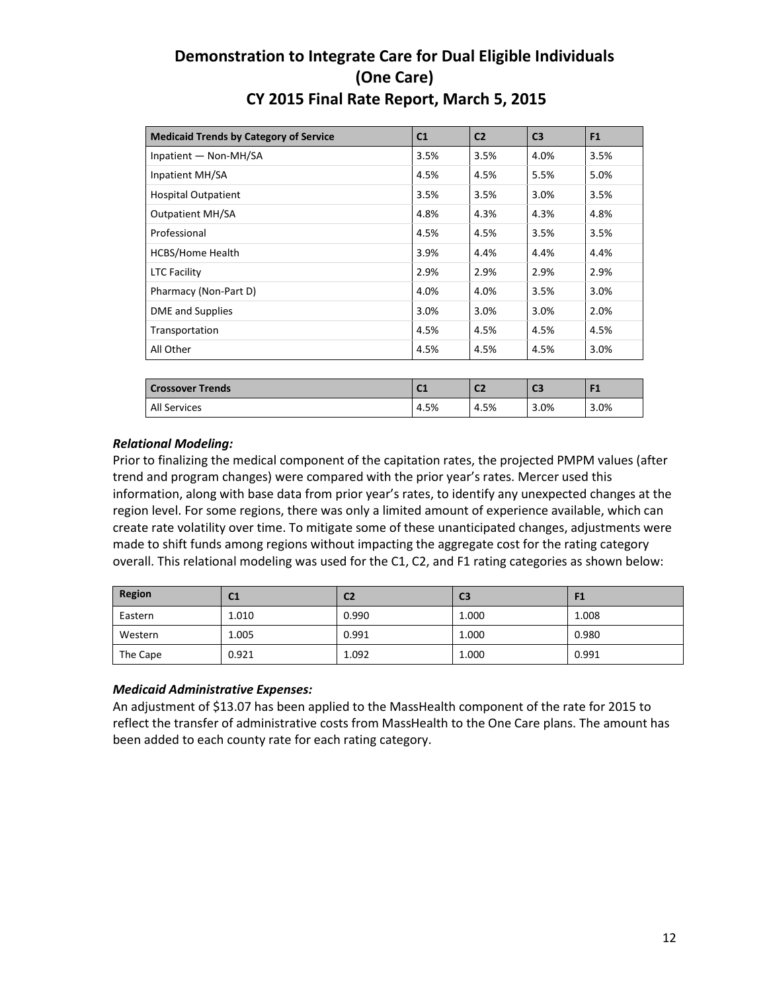| <b>Medicaid Trends by Category of Service</b> | C <sub>1</sub> | C <sub>2</sub> | C <sub>3</sub> | F1             |
|-----------------------------------------------|----------------|----------------|----------------|----------------|
| Inpatient - Non-MH/SA                         | 3.5%           | 3.5%           | 4.0%           | 3.5%           |
| Inpatient MH/SA                               | 4.5%           | 4.5%           | 5.5%           | 5.0%           |
| <b>Hospital Outpatient</b>                    | 3.5%           | 3.5%           | 3.0%           | 3.5%           |
| <b>Outpatient MH/SA</b>                       | 4.8%           | 4.3%           | 4.3%           | 4.8%           |
| Professional                                  | 4.5%           | 4.5%           | 3.5%           | 3.5%           |
| <b>HCBS/Home Health</b>                       | 3.9%           | 4.4%           | 4.4%           | 4.4%           |
| <b>LTC Facility</b>                           | 2.9%           | 2.9%           | 2.9%           | 2.9%           |
| Pharmacy (Non-Part D)                         | 4.0%           | 4.0%           | 3.5%           | 3.0%           |
| <b>DME</b> and Supplies                       | 3.0%           | 3.0%           | 3.0%           | 2.0%           |
| Transportation                                | 4.5%           | 4.5%           | 4.5%           | 4.5%           |
| All Other                                     | 4.5%           | 4.5%           | 4.5%           | 3.0%           |
|                                               |                |                |                |                |
| <b>Crossover Trends</b>                       | C <sub>1</sub> | C <sub>2</sub> | C <sub>3</sub> | F <sub>1</sub> |

Prior to finalizing the medical component of the capitation rates, the projected PMPM values (after trend and program changes) were compared with the prior year's rates. Mercer used this information, along with base data from prior year's rates, to identify any unexpected changes at the region level. For some regions, there was only a limited amount of experience available, which can create rate volatility over time. To mitigate some of these unanticipated changes, adjustments were made to shift funds among regions without impacting the aggregate cost for the rating category overall. This relational modeling was used for the C1, C2, and F1 rating categories as shown below:

All Services 4.5% 4.5% 3.0% 3.0%

| Region   | C1    | C2    | C <sub>3</sub> | F1    |
|----------|-------|-------|----------------|-------|
| Eastern  | 1.010 | 0.990 | 1.000          | 1.008 |
| Western  | 1.005 | 0.991 | 1.000          | 0.980 |
| The Cape | 0.921 | 1.092 | 1.000          | 0.991 |

### *Medicaid Administrative Expenses:*

An adjustment of \$13.07 has been applied to the MassHealth component of the rate for 2015 to reflect the transfer of administrative costs from MassHealth to the One Care plans. The amount has been added to each county rate for each rating category.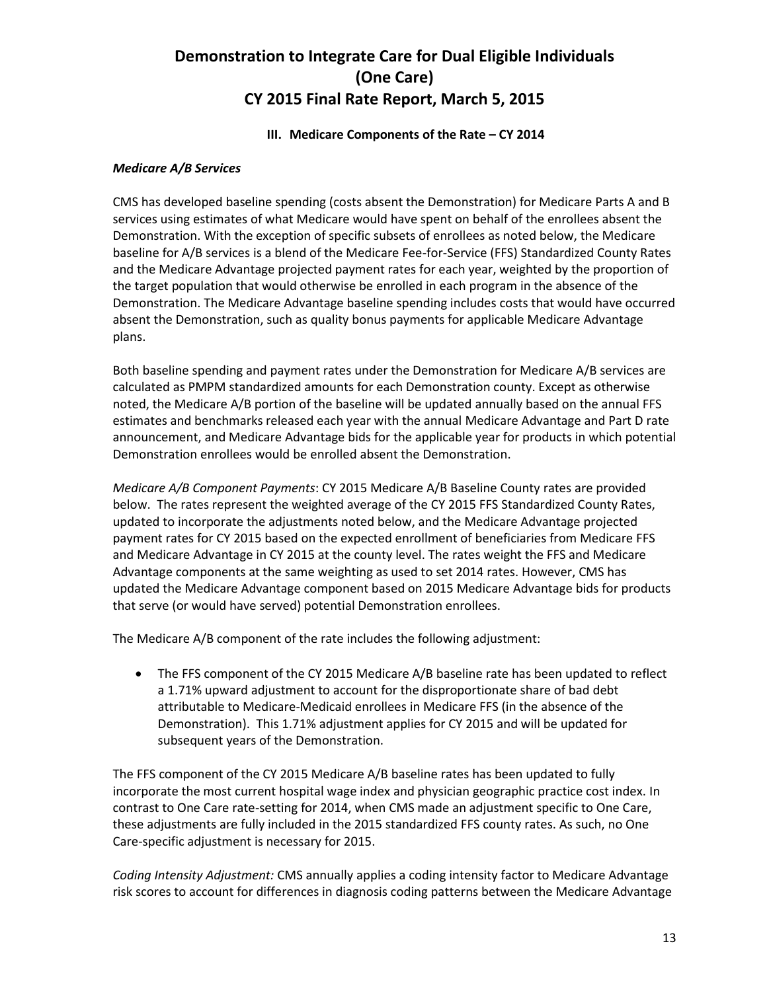#### **III.** Medicare Components of the Rate – CY 2014

#### *Medicare A/B Services*

CMS has developed baseline spending (costs absent the Demonstration) for Medicare Parts A and B services using estimates of what Medicare would have spent on behalf of the enrollees absent the Demonstration. With the exception of specific subsets of enrollees as noted below, the Medicare baseline for A/B services is a blend of the Medicare Fee-for-Service (FFS) Standardized County Rates and the Medicare Advantage projected payment rates for each year, weighted by the proportion of the target population that would otherwise be enrolled in each program in the absence of the Demonstration. The Medicare Advantage baseline spending includes costs that would have occurred absent the Demonstration, such as quality bonus payments for applicable Medicare Advantage plans.

Both baseline spending and payment rates under the Demonstration for Medicare A/B services are calculated as PMPM standardized amounts for each Demonstration county. Except as otherwise noted, the Medicare A/B portion of the baseline will be updated annually based on the annual FFS estimates and benchmarks released each year with the annual Medicare Advantage and Part D rate announcement, and Medicare Advantage bids for the applicable year for products in which potential Demonstration enrollees would be enrolled absent the Demonstration.

*Medicare A/B Component Payments*: CY 2015 Medicare A/B Baseline County rates are provided below. The rates represent the weighted average of the CY 2015 FFS Standardized County Rates, updated to incorporate the adjustments noted below, and the Medicare Advantage projected payment rates for CY 2015 based on the expected enrollment of beneficiaries from Medicare FFS and Medicare Advantage in CY 2015 at the county level. The rates weight the FFS and Medicare Advantage components at the same weighting as used to set 2014 rates. However, CMS has updated the Medicare Advantage component based on 2015 Medicare Advantage bids for products that serve (or would have served) potential Demonstration enrollees.

The Medicare A/B component of the rate includes the following adjustment:

• The FFS component of the CY 2015 Medicare A/B baseline rate has been updated to reflect a 1.71% upward adjustment to account for the disproportionate share of bad debt attributable to Medicare-Medicaid enrollees in Medicare FFS (in the absence of the Demonstration). This 1.71% adjustment applies for CY 2015 and will be updated for subsequent years of the Demonstration.

The FFS component of the CY 2015 Medicare A/B baseline rates has been updated to fully incorporate the most current hospital wage index and physician geographic practice cost index. In contrast to One Care rate-setting for 2014, when CMS made an adjustment specific to One Care, these adjustments are fully included in the 2015 standardized FFS county rates. As such, no One Care-specific adjustment is necessary for 2015.

*Coding Intensity Adjustment:* CMS annually applies a coding intensity factor to Medicare Advantage risk scores to account for differences in diagnosis coding patterns between the Medicare Advantage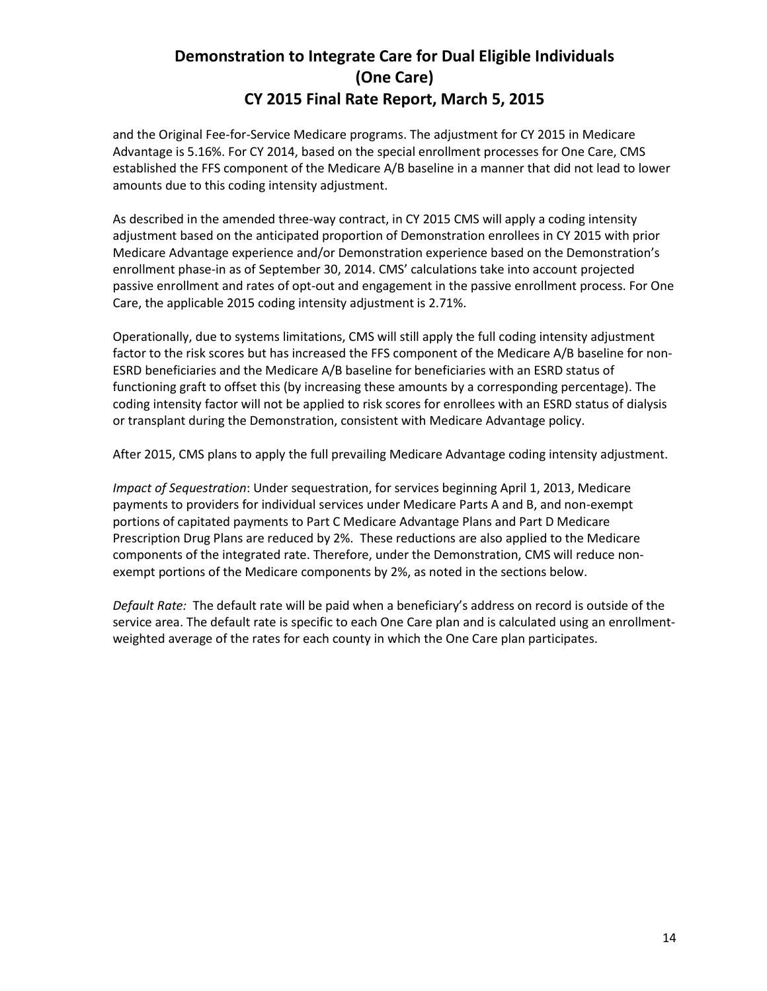and the Original Fee-for-Service Medicare programs. The adjustment for CY 2015 in Medicare Advantage is 5.16%. For CY 2014, based on the special enrollment processes for One Care, CMS established the FFS component of the Medicare A/B baseline in a manner that did not lead to lower amounts due to this coding intensity adjustment.

As described in the amended three-way contract, in CY 2015 CMS will apply a coding intensity adjustment based on the anticipated proportion of Demonstration enrollees in CY 2015 with prior Medicare Advantage experience and/or Demonstration experience based on the Demonstration's enrollment phase-in as of September 30, 2014. CMS' calculations take into account projected passive enrollment and rates of opt-out and engagement in the passive enrollment process. For One Care, the applicable 2015 coding intensity adjustment is 2.71%.

Operationally, due to systems limitations, CMS will still apply the full coding intensity adjustment factor to the risk scores but has increased the FFS component of the Medicare A/B baseline for non-ESRD beneficiaries and the Medicare A/B baseline for beneficiaries with an ESRD status of functioning graft to offset this (by increasing these amounts by a corresponding percentage). The coding intensity factor will not be applied to risk scores for enrollees with an ESRD status of dialysis or transplant during the Demonstration, consistent with Medicare Advantage policy.

After 2015, CMS plans to apply the full prevailing Medicare Advantage coding intensity adjustment.

*Impact of Sequestration*: Under sequestration, for services beginning April 1, 2013, Medicare payments to providers for individual services under Medicare Parts A and B, and non-exempt portions of capitated payments to Part C Medicare Advantage Plans and Part D Medicare Prescription Drug Plans are reduced by 2%. These reductions are also applied to the Medicare components of the integrated rate. Therefore, under the Demonstration, CMS will reduce nonexempt portions of the Medicare components by 2%, as noted in the sections below.

*Default Rate:* The default rate will be paid when a beneficiary's address on record is outside of the service area. The default rate is specific to each One Care plan and is calculated using an enrollmentweighted average of the rates for each county in which the One Care plan participates.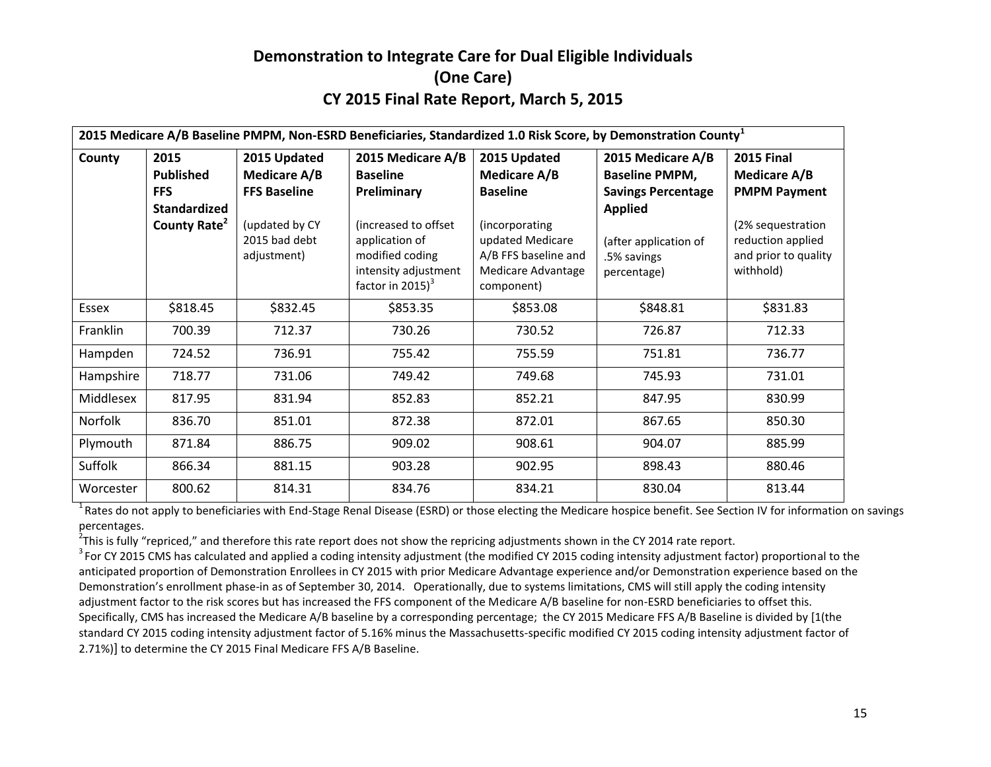|           |                                                                                           |                                                                                                              |                                                                                                                                                                 |                                                                                                                                                          | 2015 Medicare A/B Baseline PMPM, Non-ESRD Beneficiaries, Standardized 1.0 Risk Score, by Demonstration County <sup>1</sup>                       |                                                                                                                                         |
|-----------|-------------------------------------------------------------------------------------------|--------------------------------------------------------------------------------------------------------------|-----------------------------------------------------------------------------------------------------------------------------------------------------------------|----------------------------------------------------------------------------------------------------------------------------------------------------------|--------------------------------------------------------------------------------------------------------------------------------------------------|-----------------------------------------------------------------------------------------------------------------------------------------|
| County    | 2015<br><b>Published</b><br><b>FFS</b><br><b>Standardized</b><br>County Rate <sup>2</sup> | 2015 Updated<br><b>Medicare A/B</b><br><b>FFS Baseline</b><br>(updated by CY<br>2015 bad debt<br>adjustment) | 2015 Medicare A/B<br><b>Baseline</b><br>Preliminary<br>(increased to offset<br>application of<br>modified coding<br>intensity adjustment<br>factor in 2015) $3$ | 2015 Updated<br><b>Medicare A/B</b><br><b>Baseline</b><br>(incorporating<br>updated Medicare<br>A/B FFS baseline and<br>Medicare Advantage<br>component) | 2015 Medicare A/B<br><b>Baseline PMPM,</b><br><b>Savings Percentage</b><br><b>Applied</b><br>(after application of<br>.5% savings<br>percentage) | <b>2015 Final</b><br>Medicare A/B<br><b>PMPM Payment</b><br>(2% sequestration<br>reduction applied<br>and prior to quality<br>withhold) |
| Essex     | \$818.45                                                                                  | \$832.45                                                                                                     | \$853.35                                                                                                                                                        | \$853.08                                                                                                                                                 | \$848.81                                                                                                                                         | \$831.83                                                                                                                                |
| Franklin  | 700.39                                                                                    | 712.37                                                                                                       | 730.26                                                                                                                                                          | 730.52                                                                                                                                                   | 726.87                                                                                                                                           | 712.33                                                                                                                                  |
| Hampden   | 724.52                                                                                    | 736.91                                                                                                       | 755.42                                                                                                                                                          | 755.59                                                                                                                                                   | 751.81                                                                                                                                           | 736.77                                                                                                                                  |
| Hampshire | 718.77                                                                                    | 731.06                                                                                                       | 749.42                                                                                                                                                          | 749.68                                                                                                                                                   | 745.93                                                                                                                                           | 731.01                                                                                                                                  |
| Middlesex | 817.95                                                                                    | 831.94                                                                                                       | 852.83                                                                                                                                                          | 852.21                                                                                                                                                   | 847.95                                                                                                                                           | 830.99                                                                                                                                  |
| Norfolk   | 836.70                                                                                    | 851.01                                                                                                       | 872.38                                                                                                                                                          | 872.01                                                                                                                                                   | 867.65                                                                                                                                           | 850.30                                                                                                                                  |
| Plymouth  | 871.84                                                                                    | 886.75                                                                                                       | 909.02                                                                                                                                                          | 908.61                                                                                                                                                   | 904.07                                                                                                                                           | 885.99                                                                                                                                  |
| Suffolk   | 866.34                                                                                    | 881.15                                                                                                       | 903.28                                                                                                                                                          | 902.95                                                                                                                                                   | 898.43                                                                                                                                           | 880.46                                                                                                                                  |
| Worcester | 800.62                                                                                    | 814.31                                                                                                       | 834.76                                                                                                                                                          | 834.21                                                                                                                                                   | 830.04                                                                                                                                           | 813.44                                                                                                                                  |

<sup>1</sup> Rates do not apply to beneficiaries with End-Stage Renal Disease (ESRD) or those electing the Medicare hospice benefit. See Section IV for information on savings percentages.

 $^2$ This is fully "repriced," and therefore this rate report does not show the repricing adjustments shown in the CY 2014 rate report.

 $3$  For CY 2015 CMS has calculated and applied a coding intensity adjustment (the modified CY 2015 coding intensity adjustment factor) proportional to the anticipated proportion of Demonstration Enrollees in CY 2015 with prior Medicare Advantage experience and/or Demonstration experience based on the Demonstration's enrollment phase-in as of September 30, 2014. Operationally, due to systems limitations, CMS will still apply the coding intensity adjustment factor to the risk scores but has increased the FFS component of the Medicare A/B baseline for non-ESRD beneficiaries to offset this. Specifically, CMS has increased the Medicare A/B baseline by a corresponding percentage; the CY 2015 Medicare FFS A/B Baseline is divided by [1(the standard CY 2015 coding intensity adjustment factor of 5.16% minus the Massachusetts-specific modified CY 2015 coding intensity adjustment factor of 2.71%)] to determine the CY 2015 Final Medicare FFS A/B Baseline.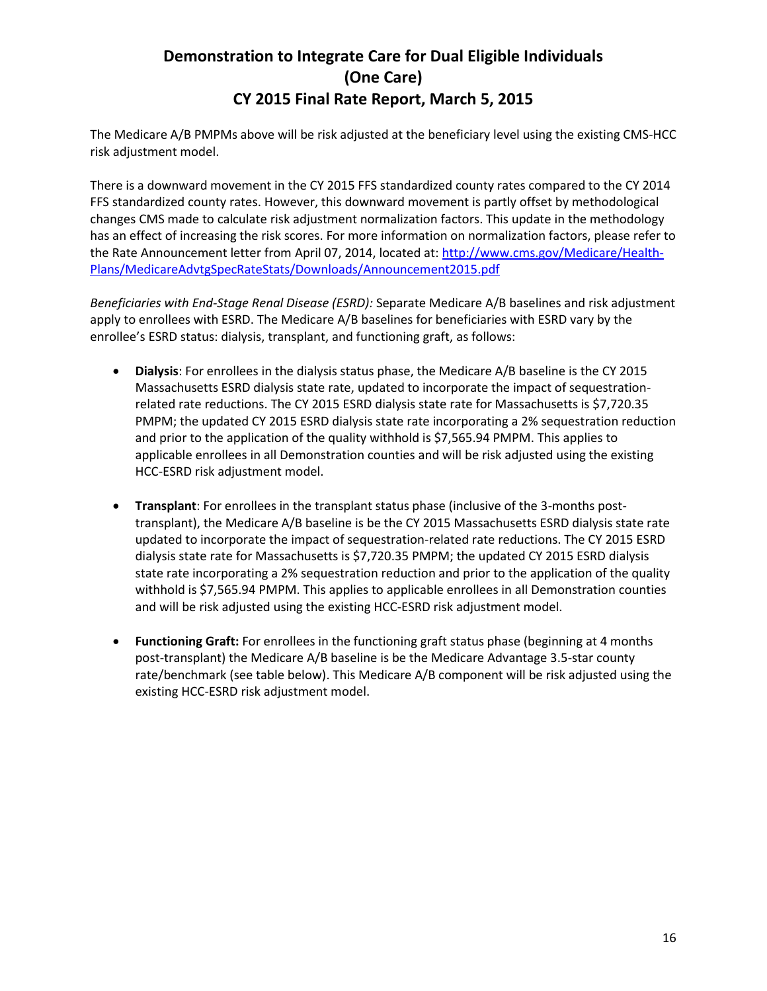The Medicare A/B PMPMs above will be risk adjusted at the beneficiary level using the existing CMS-HCC risk adjustment model.

There is a downward movement in the CY 2015 FFS standardized county rates compared to the CY 2014 FFS standardized county rates. However, this downward movement is partly offset by methodological changes CMS made to calculate risk adjustment normalization factors. This update in the methodology has an effect of increasing the risk scores. For more information on normalization factors, please refer to the Rate Announcement letter from April 07, 2014, located at: [http://www.cms.gov/Medicare/Health-](http://www.cms.gov/Medicare/Health-Plans/MedicareAdvtgSpecRateStats/Downloads/Announcement2015.pdf)[Plans/MedicareAdvtgSpecRateStats/Downloads/Announcement2015.pdf](http://www.cms.gov/Medicare/Health-Plans/MedicareAdvtgSpecRateStats/Downloads/Announcement2015.pdf)

*Beneficiaries with End-Stage Renal Disease (ESRD):* Separate Medicare A/B baselines and risk adjustment apply to enrollees with ESRD. The Medicare A/B baselines for beneficiaries with ESRD vary by the enrollee's ESRD status: dialysis, transplant, and functioning graft, as follows:

- **Dialysis**: For enrollees in the dialysis status phase, the Medicare A/B baseline is the CY 2015 Massachusetts ESRD dialysis state rate, updated to incorporate the impact of sequestrationrelated rate reductions. The CY 2015 ESRD dialysis state rate for Massachusetts is \$7,720.35 PMPM; the updated CY 2015 ESRD dialysis state rate incorporating a 2% sequestration reduction and prior to the application of the quality withhold is \$7,565.94 PMPM. This applies to applicable enrollees in all Demonstration counties and will be risk adjusted using the existing HCC-ESRD risk adjustment model.
- **Transplant**: For enrollees in the transplant status phase (inclusive of the 3-months posttransplant), the Medicare A/B baseline is be the CY 2015 Massachusetts ESRD dialysis state rate updated to incorporate the impact of sequestration-related rate reductions. The CY 2015 ESRD dialysis state rate for Massachusetts is \$7,720.35 PMPM; the updated CY 2015 ESRD dialysis state rate incorporating a 2% sequestration reduction and prior to the application of the quality withhold is \$7,565.94 PMPM. This applies to applicable enrollees in all Demonstration counties and will be risk adjusted using the existing HCC-ESRD risk adjustment model.
- **Functioning Graft:** For enrollees in the functioning graft status phase (beginning at 4 months post-transplant) the Medicare A/B baseline is be the Medicare Advantage 3.5-star county rate/benchmark (see table below). This Medicare A/B component will be risk adjusted using the existing HCC-ESRD risk adjustment model.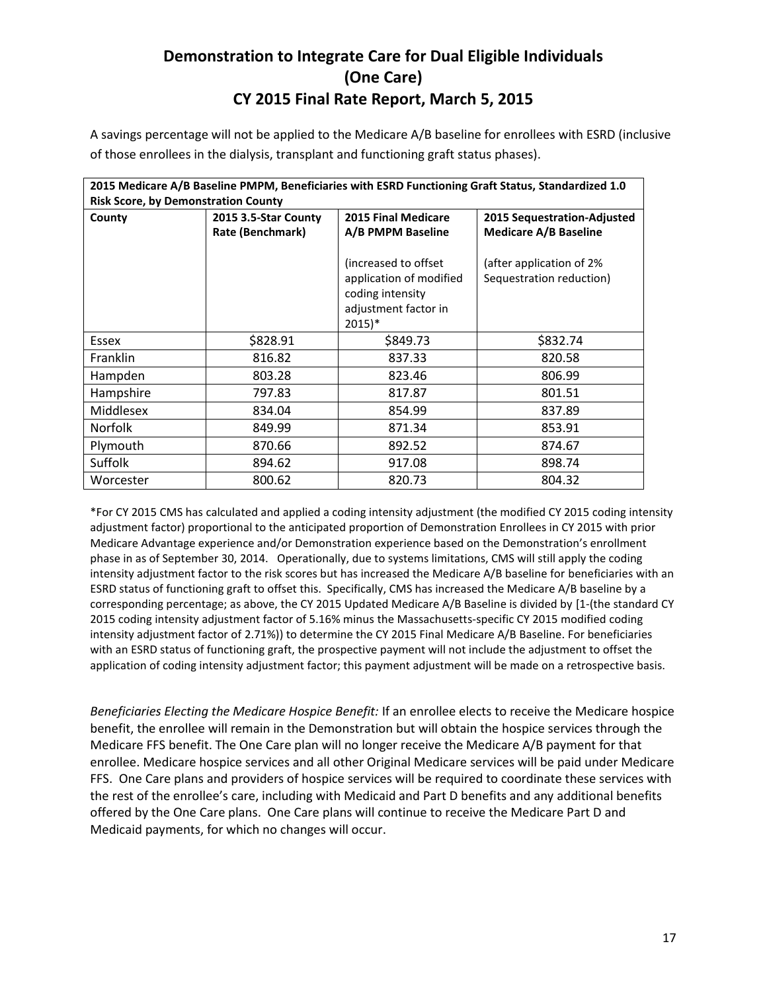A savings percentage will not be applied to the Medicare A/B baseline for enrollees with ESRD (inclusive of those enrollees in the dialysis, transplant and functioning graft status phases).

|                                                                                                                                                  | 2015 Medicare A/B Baseline PMPM, Beneficiaries with ESRD Functioning Graft Status, Standardized 1.0 |                         |                              |  |  |  |  |  |  |  |  |  |  |  |
|--------------------------------------------------------------------------------------------------------------------------------------------------|-----------------------------------------------------------------------------------------------------|-------------------------|------------------------------|--|--|--|--|--|--|--|--|--|--|--|
| <b>Risk Score, by Demonstration County</b><br><b>2015 Final Medicare</b><br>2015 3.5-Star County<br><b>2015 Sequestration-Adjusted</b><br>County |                                                                                                     |                         |                              |  |  |  |  |  |  |  |  |  |  |  |
|                                                                                                                                                  |                                                                                                     |                         |                              |  |  |  |  |  |  |  |  |  |  |  |
|                                                                                                                                                  | Rate (Benchmark)                                                                                    | A/B PMPM Baseline       | <b>Medicare A/B Baseline</b> |  |  |  |  |  |  |  |  |  |  |  |
|                                                                                                                                                  |                                                                                                     |                         |                              |  |  |  |  |  |  |  |  |  |  |  |
|                                                                                                                                                  |                                                                                                     | (increased to offset    | (after application of 2%     |  |  |  |  |  |  |  |  |  |  |  |
|                                                                                                                                                  |                                                                                                     | application of modified | Sequestration reduction)     |  |  |  |  |  |  |  |  |  |  |  |
|                                                                                                                                                  |                                                                                                     | coding intensity        |                              |  |  |  |  |  |  |  |  |  |  |  |
|                                                                                                                                                  |                                                                                                     | adjustment factor in    |                              |  |  |  |  |  |  |  |  |  |  |  |
|                                                                                                                                                  |                                                                                                     | $2015$ <sup>*</sup>     |                              |  |  |  |  |  |  |  |  |  |  |  |
| Essex                                                                                                                                            | \$828.91                                                                                            | \$849.73                | \$832.74                     |  |  |  |  |  |  |  |  |  |  |  |
| Franklin                                                                                                                                         | 816.82                                                                                              | 837.33                  | 820.58                       |  |  |  |  |  |  |  |  |  |  |  |
| Hampden                                                                                                                                          | 803.28                                                                                              | 823.46                  | 806.99                       |  |  |  |  |  |  |  |  |  |  |  |
| Hampshire                                                                                                                                        | 797.83                                                                                              | 817.87                  | 801.51                       |  |  |  |  |  |  |  |  |  |  |  |
| Middlesex                                                                                                                                        | 834.04                                                                                              | 854.99                  | 837.89                       |  |  |  |  |  |  |  |  |  |  |  |
| <b>Norfolk</b>                                                                                                                                   | 849.99                                                                                              | 871.34                  | 853.91                       |  |  |  |  |  |  |  |  |  |  |  |
| Plymouth                                                                                                                                         | 870.66                                                                                              | 892.52                  | 874.67                       |  |  |  |  |  |  |  |  |  |  |  |
| Suffolk                                                                                                                                          | 894.62                                                                                              | 917.08                  | 898.74                       |  |  |  |  |  |  |  |  |  |  |  |
| Worcester                                                                                                                                        | 800.62                                                                                              | 820.73                  | 804.32                       |  |  |  |  |  |  |  |  |  |  |  |

\*For CY 2015 CMS has calculated and applied a coding intensity adjustment (the modified CY 2015 coding intensity adjustment factor) proportional to the anticipated proportion of Demonstration Enrollees in CY 2015 with prior Medicare Advantage experience and/or Demonstration experience based on the Demonstration's enrollment phase in as of September 30, 2014. Operationally, due to systems limitations, CMS will still apply the coding intensity adjustment factor to the risk scores but has increased the Medicare A/B baseline for beneficiaries with an ESRD status of functioning graft to offset this. Specifically, CMS has increased the Medicare A/B baseline by a corresponding percentage; as above, the CY 2015 Updated Medicare A/B Baseline is divided by [1-(the standard CY 2015 coding intensity adjustment factor of 5.16% minus the Massachusetts-specific CY 2015 modified coding intensity adjustment factor of 2.71%)) to determine the CY 2015 Final Medicare A/B Baseline. For beneficiaries with an ESRD status of functioning graft, the prospective payment will not include the adjustment to offset the application of coding intensity adjustment factor; this payment adjustment will be made on a retrospective basis.

*Beneficiaries Electing the Medicare Hospice Benefit:* If an enrollee elects to receive the Medicare hospice benefit, the enrollee will remain in the Demonstration but will obtain the hospice services through the Medicare FFS benefit. The One Care plan will no longer receive the Medicare A/B payment for that enrollee. Medicare hospice services and all other Original Medicare services will be paid under Medicare FFS. One Care plans and providers of hospice services will be required to coordinate these services with the rest of the enrollee's care, including with Medicaid and Part D benefits and any additional benefits offered by the One Care plans. One Care plans will continue to receive the Medicare Part D and Medicaid payments, for which no changes will occur.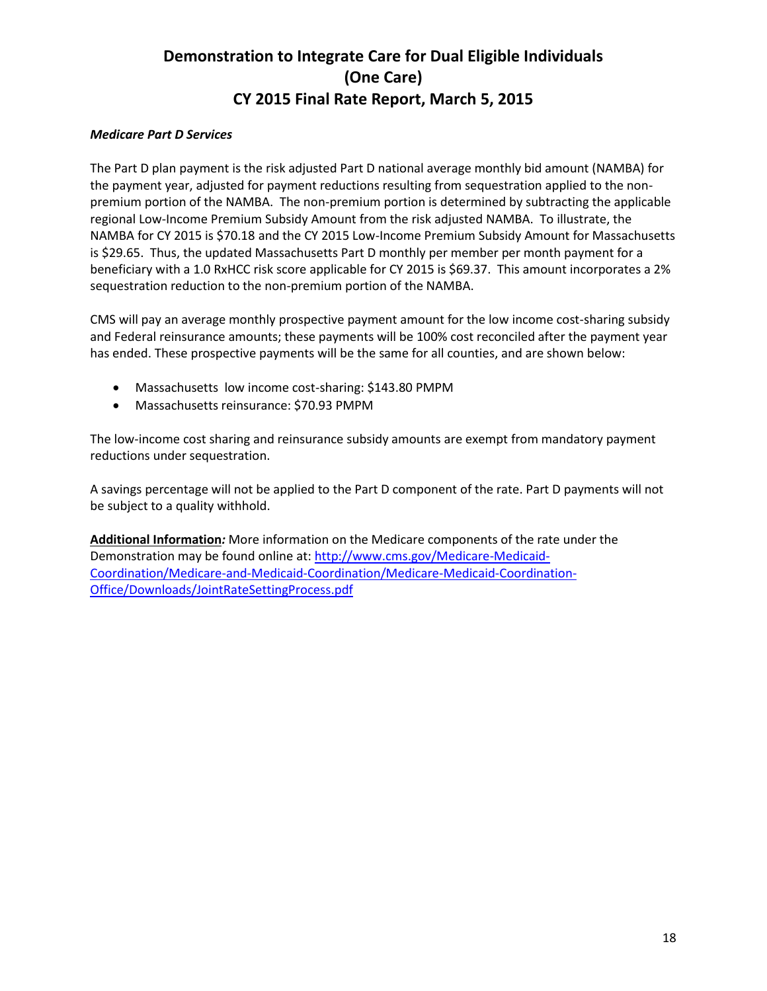### *Medicare Part D Services*

The Part D plan payment is the risk adjusted Part D national average monthly bid amount (NAMBA) for the payment year, adjusted for payment reductions resulting from sequestration applied to the nonpremium portion of the NAMBA. The non-premium portion is determined by subtracting the applicable regional Low-Income Premium Subsidy Amount from the risk adjusted NAMBA. To illustrate, the NAMBA for CY 2015 is \$70.18 and the CY 2015 Low-Income Premium Subsidy Amount for Massachusetts is \$29.65. Thus, the updated Massachusetts Part D monthly per member per month payment for a beneficiary with a 1.0 RxHCC risk score applicable for CY 2015 is \$69.37. This amount incorporates a 2% sequestration reduction to the non-premium portion of the NAMBA.

CMS will pay an average monthly prospective payment amount for the low income cost-sharing subsidy and Federal reinsurance amounts; these payments will be 100% cost reconciled after the payment year has ended. These prospective payments will be the same for all counties, and are shown below:

- Massachusetts low income cost-sharing: \$143.80 PMPM
- Massachusetts reinsurance: \$70.93 PMPM

The low-income cost sharing and reinsurance subsidy amounts are exempt from mandatory payment reductions under sequestration.

A savings percentage will not be applied to the Part D component of the rate. Part D payments will not be subject to a quality withhold.

**Additional Information***:* More information on the Medicare components of the rate under the Demonstration may be found online at: [http://www.cms.gov/Medicare-Medicaid-](http://www.cms.gov/Medicare-Medicaid-Coordination/Medicare-and-Medicaid-Coordination/Medicare-Medicaid-Coordination-Office/Downloads/JointRateSettingProcess.pdf)[Coordination/Medicare-and-Medicaid-Coordination/Medicare-Medicaid-Coordination-](http://www.cms.gov/Medicare-Medicaid-Coordination/Medicare-and-Medicaid-Coordination/Medicare-Medicaid-Coordination-Office/Downloads/JointRateSettingProcess.pdf)[Office/Downloads/JointRateSettingProcess.pdf](http://www.cms.gov/Medicare-Medicaid-Coordination/Medicare-and-Medicaid-Coordination/Medicare-Medicaid-Coordination-Office/Downloads/JointRateSettingProcess.pdf)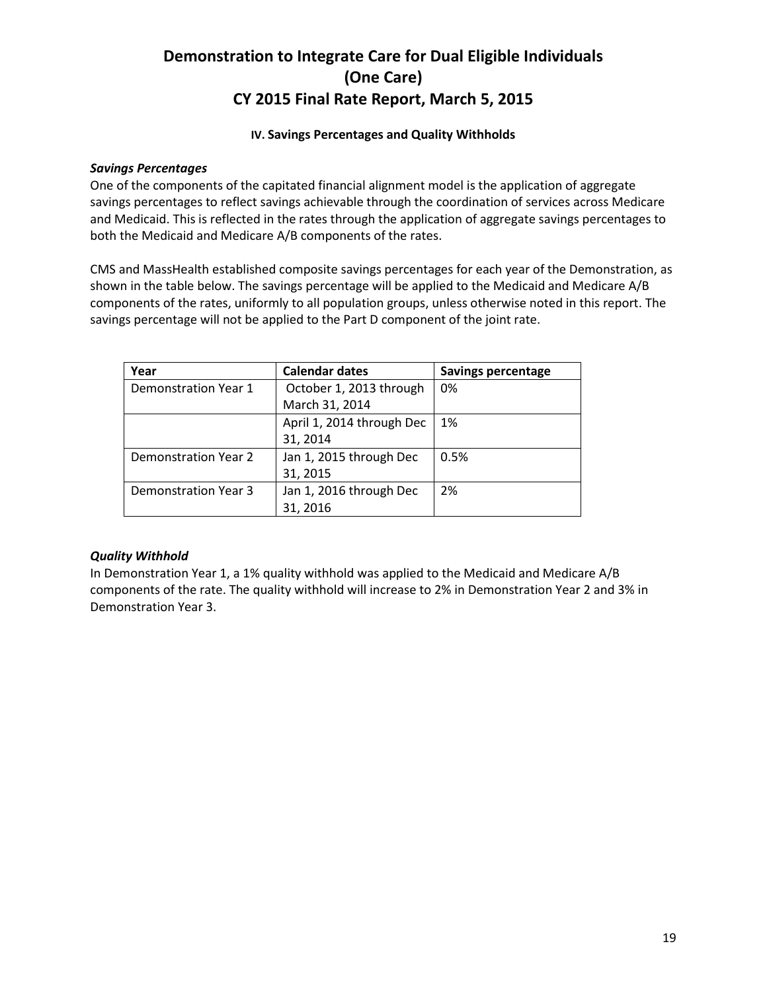### **IV. Savings Percentages and Quality Withholds**

### *Savings Percentages*

One of the components of the capitated financial alignment model is the application of aggregate savings percentages to reflect savings achievable through the coordination of services across Medicare and Medicaid. This is reflected in the rates through the application of aggregate savings percentages to both the Medicaid and Medicare A/B components of the rates.

CMS and MassHealth established composite savings percentages for each year of the Demonstration, as shown in the table below. The savings percentage will be applied to the Medicaid and Medicare A/B components of the rates, uniformly to all population groups, unless otherwise noted in this report. The savings percentage will not be applied to the Part D component of the joint rate.

| Year                        | <b>Calendar dates</b>     | <b>Savings percentage</b> |
|-----------------------------|---------------------------|---------------------------|
| Demonstration Year 1        | October 1, 2013 through   | 0%                        |
|                             | March 31, 2014            |                           |
|                             | April 1, 2014 through Dec | 1%                        |
|                             | 31, 2014                  |                           |
| Demonstration Year 2        | Jan 1, 2015 through Dec   | 0.5%                      |
|                             | 31, 2015                  |                           |
| <b>Demonstration Year 3</b> | Jan 1, 2016 through Dec   | 2%                        |
|                             | 31, 2016                  |                           |

#### *Quality Withhold*

In Demonstration Year 1, a 1% quality withhold was applied to the Medicaid and Medicare A/B components of the rate. The quality withhold will increase to 2% in Demonstration Year 2 and 3% in Demonstration Year 3.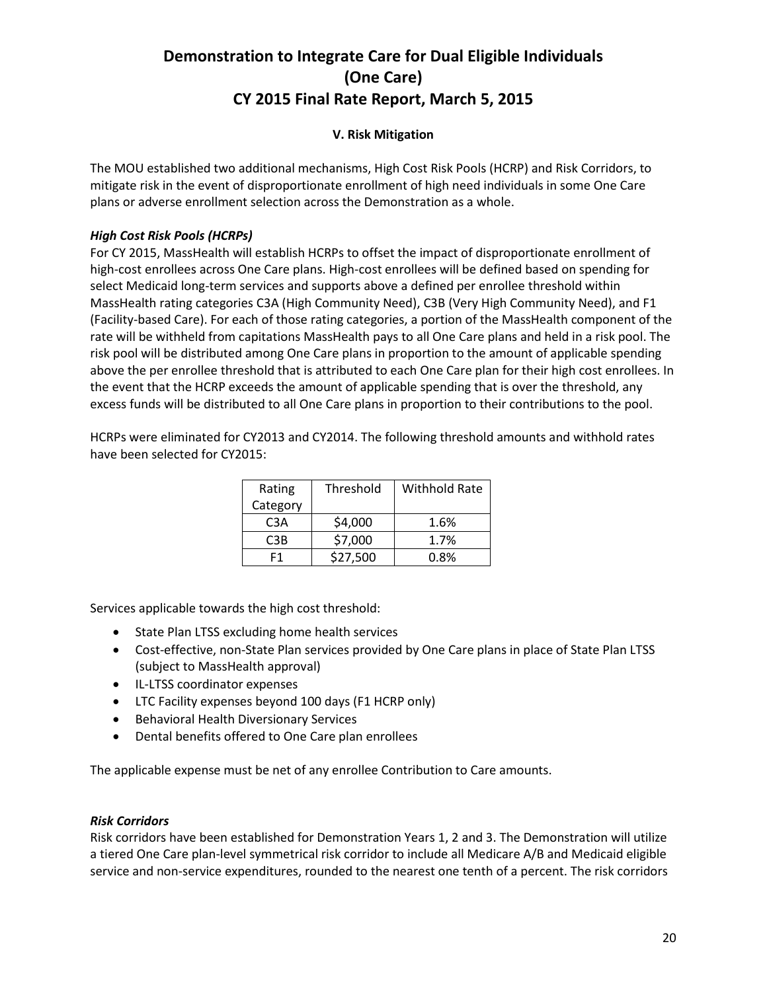### **V. Risk Mitigation**

The MOU established two additional mechanisms, High Cost Risk Pools (HCRP) and Risk Corridors, to mitigate risk in the event of disproportionate enrollment of high need individuals in some One Care plans or adverse enrollment selection across the Demonstration as a whole.

### *High Cost Risk Pools (HCRPs)*

For CY 2015, MassHealth will establish HCRPs to offset the impact of disproportionate enrollment of high-cost enrollees across One Care plans. High-cost enrollees will be defined based on spending for select Medicaid long-term services and supports above a defined per enrollee threshold within MassHealth rating categories C3A (High Community Need), C3B (Very High Community Need), and F1 (Facility-based Care). For each of those rating categories, a portion of the MassHealth component of the rate will be withheld from capitations MassHealth pays to all One Care plans and held in a risk pool. The risk pool will be distributed among One Care plans in proportion to the amount of applicable spending above the per enrollee threshold that is attributed to each One Care plan for their high cost enrollees. In the event that the HCRP exceeds the amount of applicable spending that is over the threshold, any excess funds will be distributed to all One Care plans in proportion to their contributions to the pool.

HCRPs were eliminated for CY2013 and CY2014. The following threshold amounts and withhold rates have been selected for CY2015:

| Rating   | Threshold | Withhold Rate |
|----------|-----------|---------------|
| Category |           |               |
| C3A      | \$4,000   | 1.6%          |
| C3B      | \$7,000   | 1.7%          |
| F1       | \$27,500  | 0.8%          |

Services applicable towards the high cost threshold:

- State Plan LTSS excluding home health services
- Cost-effective, non-State Plan services provided by One Care plans in place of State Plan LTSS (subject to MassHealth approval)
- IL-LTSS coordinator expenses
- LTC Facility expenses beyond 100 days (F1 HCRP only)
- **•** Behavioral Health Diversionary Services
- Dental benefits offered to One Care plan enrollees

The applicable expense must be net of any enrollee Contribution to Care amounts.

#### *Risk Corridors*

Risk corridors have been established for Demonstration Years 1, 2 and 3. The Demonstration will utilize a tiered One Care plan-level symmetrical risk corridor to include all Medicare A/B and Medicaid eligible service and non-service expenditures, rounded to the nearest one tenth of a percent. The risk corridors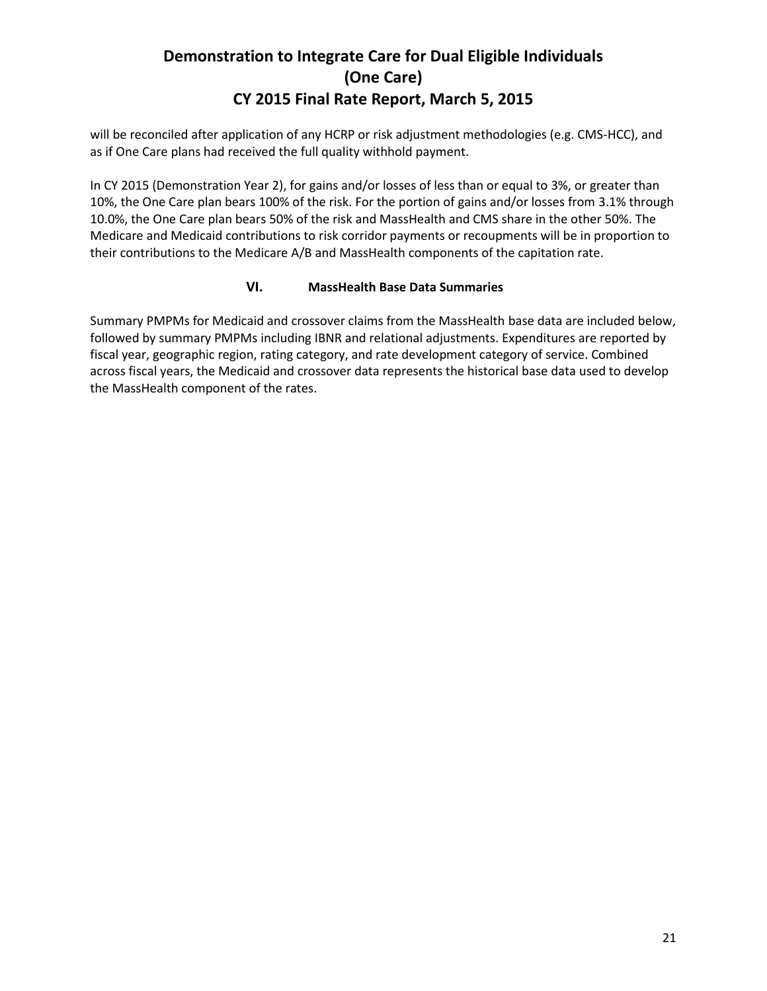will be reconciled after application of any HCRP or risk adjustment methodologies (e.g. CMS-HCC), and as if One Care plans had received the full quality withhold payment.

In CY 2015 (Demonstration Year 2), for gains and/or losses of less than or equal to 3%, or greater than 10%, the One Care plan bears 100% of the risk. For the portion of gains and/or losses from 3.1% through 10.0%, the One Care plan bears 50% of the risk and MassHealth and CMS share in the other 50%. The Medicare and Medicaid contributions to risk corridor payments or recoupments will be in proportion to their contributions to the Medicare A/B and MassHealth components of the capitation rate.

### **VI. MassHealth Base Data Summaries**

Summary PMPMs for Medicaid and crossover claims from the MassHealth base data are included below, followed by summary PMPMs including IBNR and relational adjustments. Expenditures are reported by fiscal year, geographic region, rating category, and rate development category of service. Combined across fiscal years, the Medicaid and crossover data represents the historical base data used to develop the MassHealth component of the rates.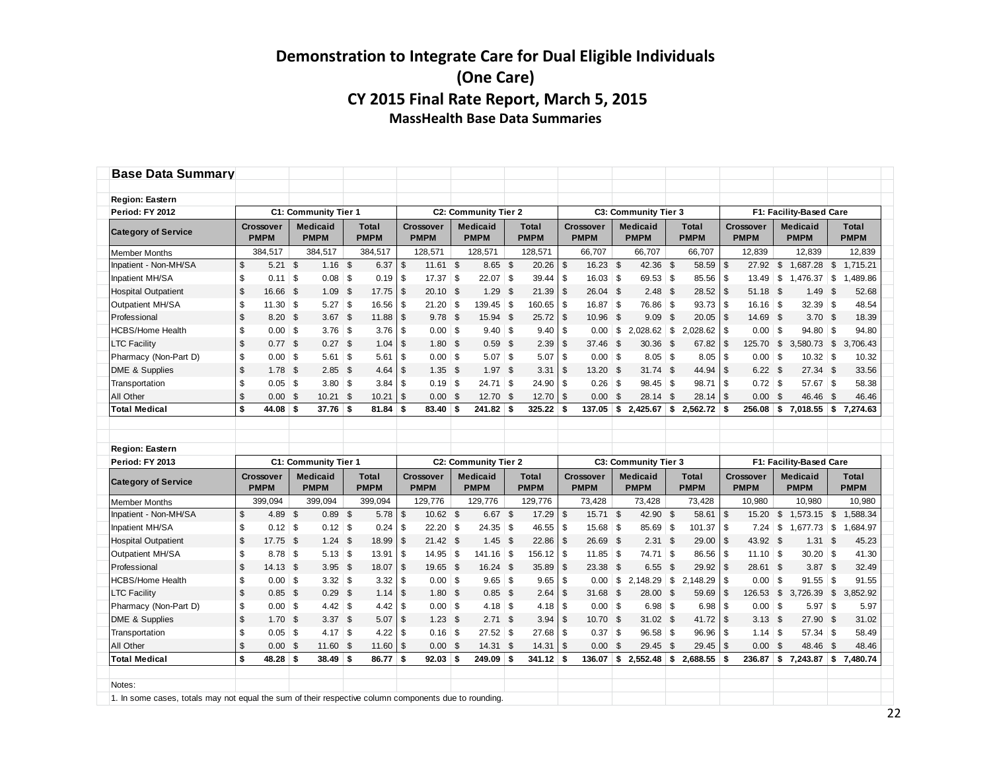| <b>Base Data Summary</b>                                                                              |                         |                          |                                |      |                      |                |                                 |                                |                |                             |                |                                 |                    |                                |                    |                             |               |                                 |              |                         |              |                             |
|-------------------------------------------------------------------------------------------------------|-------------------------|--------------------------|--------------------------------|------|----------------------|----------------|---------------------------------|--------------------------------|----------------|-----------------------------|----------------|---------------------------------|--------------------|--------------------------------|--------------------|-----------------------------|---------------|---------------------------------|--------------|-------------------------|--------------|-----------------------------|
| <b>Region: Eastern</b>                                                                                |                         |                          |                                |      |                      |                |                                 |                                |                |                             |                |                                 |                    |                                |                    |                             |               |                                 |              |                         |              |                             |
| Period: FY 2012                                                                                       |                         |                          | C1: Community Tier 1           |      |                      |                |                                 | <b>C2: Community Tier 2</b>    |                |                             |                |                                 |                    | C3: Community Tier 3           |                    |                             |               |                                 |              | F1: Facility-Based Care |              |                             |
| <b>Category of Service</b>                                                                            |                         | Crossover<br><b>PMPM</b> | <b>Medicaid</b><br><b>PMPM</b> |      | Total<br><b>PMPM</b> |                | <b>Crossover</b><br><b>PMPM</b> | <b>Medicaid</b><br><b>PMPM</b> |                | <b>Total</b><br><b>PMPM</b> |                | <b>Crossover</b><br><b>PMPM</b> |                    | <b>Medicaid</b><br><b>PMPM</b> |                    | <b>Total</b><br><b>PMPM</b> |               | <b>Crossover</b><br><b>PMPM</b> |              | Medicaid<br><b>PMPM</b> |              | <b>Total</b><br><b>PMPM</b> |
| <b>Member Months</b>                                                                                  |                         | 384,517                  | 384,517                        |      | 384,517              |                | 128,571                         | 128,571                        |                | 128,571                     |                | 66,707                          |                    | 66,707                         |                    | 66.707                      |               | 12,839                          |              | 12.839                  |              | 12,839                      |
| Inpatient - Non-MH/SA                                                                                 | $\sqrt[6]{\frac{1}{2}}$ | $5.21$ \$                | $1.16$ \$                      |      | 6.37                 | \$             | $11.61$ \$                      | $8.65$ \$                      |                | 20.26                       | \$             | 16.23                           | $\mathbf{\hat{s}}$ | 42.36 \$                       |                    | 58.59                       | \$            | 27.92                           | \$           | 1,687.28                | $\mathbb{S}$ | 1,715.21                    |
| Inpatient MH/SA                                                                                       | \$                      | $0.11$ \$                |                                |      | 0.19                 | \$             | $17.37$ \$                      | $22.07$ \$                     |                | 39.44                       | \$             | $16.03$ \$                      |                    | $69.53$ \$                     |                    | 85.56                       | \$            | 13.49                           | \$           | $1,476.37$ \$           |              | 1,489.86                    |
| <b>Hospital Outpatient</b>                                                                            | $\mathsf{\$}$           | 16.66 \$                 | $1.09$ \$                      |      | 17.75                | $\mathfrak{S}$ | $20.10$ \$                      | 1.29S                          |                | 21.39                       | $\mathbb{S}$   | 26.04 \$                        |                    | $2.48$ \$                      |                    | 28.52                       | $\mathsf{\$}$ | 51.18 \$                        |              | $1.49$ \$               |              | 52.68                       |
| Outpatient MH/SA                                                                                      | \$                      | $11.30$ \$               | $5.27$ \$                      |      | 16.56                | \$             | $21.20$ \$                      | $139.45$ \$                    |                | 160.65                      | \$             | $16.87$ \$                      |                    | 76.86 \$                       |                    | 93.73                       | \$            | $16.16$ \$                      |              | $32.39$ \$              |              | 48.54                       |
| Professional                                                                                          | $\mathsf{\$}$           | $8.20$ \$                | $3.67$ \$                      |      | 11.88                | \$             | $9.78$ \$                       | 15.94 \$                       |                | 25.72                       | $\mathfrak s$  | 10.96                           | \$                 | $9.09$ \$                      |                    | 20.05                       | \$            | 14.69 \$                        |              | 3.70 <sup>5</sup>       |              | 18.39                       |
| <b>HCBS/Home Health</b>                                                                               | \$                      | $0.00$ \$                | $3.76$ \$                      |      | 3.76                 | \$             | $0.00$ \$                       | 9.40                           | \$             | 9.40                        | \$             | 0.00                            | \$                 | $2,028.62$ \$                  |                    | 2,028.62                    | \$            | $0.00$ \$                       |              | $94.80$ \$              |              | 94.80                       |
| <b>LTC Facility</b>                                                                                   | $\sqrt[6]{\frac{1}{2}}$ | 0.77S                    | $0.27$ \$                      |      | 1.04                 | \$             | $1.80$ \$                       | $0.59$ \$                      |                | 2.39                        | $\mathfrak s$  | 37.46                           | $\mathfrak{S}$     | 30.36                          | \$                 | 67.82                       | \$            | 125.70                          | $\mathbb{S}$ | 3,580.73 \$             |              | 3,706.43                    |
| Pharmacy (Non-Part D)                                                                                 | \$                      | $0.00$ \$                | $5.61$ \$                      |      | 5.61                 | \$             | $0.00$ \$                       | 5.07                           | \$             | 5.07                        | \$             | $0.00$ \$                       |                    | $8.05$ \$                      |                    | 8.05                        | \$            | $0.00$ \$                       |              | $10.32$ \$              |              | 10.32                       |
| DME & Supplies                                                                                        | $\mathsf{\$}$           | $1.78$ \$                | $2.85$ \$                      |      | 4.64                 | \$             | $1.35$ \$                       | 1.97S                          |                | 3.31                        | \$             | 13.20                           | <b>S</b>           | $31.74$ \$                     |                    | 44.94                       | $\mathsf{\$}$ | 6.22S                           |              | $27.34$ \$              |              | 33.56                       |
| Transportation                                                                                        | \$                      | $0.05$ \$                | $3.80$ \ \$                    |      | 3.84                 | \$             | $0.19$ \$                       | 24.71                          | \$             | 24.90                       | \$             |                                 |                    | $98.45$ \$                     |                    | 98.71                       | \$            | $0.72$ \$                       |              | $57.67$ \$              |              | 58.38                       |
| All Other                                                                                             | $\mathbb{S}$            | $0.00$ \$                | $10.21$ \$                     |      | 10.21                | $\mathfrak{L}$ | 0.00 <sup>5</sup>               | 12.70 \$                       |                | 12.70                       | $\mathbb{S}$   | 0.00                            | \$                 | 28.14                          | \$                 | 28.14                       | \$            | 0.00                            | \$           | 46.46                   | - \$         | 46.46                       |
| <b>Total Medical</b>                                                                                  | $\mathbf{s}$            | 44.08                    | \$<br>37.76                    | - \$ | 81.84                | \$             | 83.40                           | \$<br>241.82                   | \$             | 325.22                      | Ŝ.             | 137.05                          | \$                 | 2,425.67                       | \$                 | 2,562.72                    | \$            | 256.08                          | \$           | 7,018.55                | \$           | 7,274.63                    |
|                                                                                                       |                         |                          |                                |      |                      |                |                                 |                                |                |                             |                |                                 |                    |                                |                    |                             |               |                                 |              |                         |              |                             |
| <b>Region: Eastern</b>                                                                                |                         |                          |                                |      |                      |                |                                 |                                |                |                             |                |                                 |                    |                                |                    |                             |               |                                 |              |                         |              |                             |
| Period: FY 2013                                                                                       |                         |                          | C1: Community Tier 1           |      |                      |                |                                 | <b>C2: Community Tier 2</b>    |                |                             |                |                                 |                    | C3: Community Tier 3           |                    |                             |               |                                 |              | F1: Facility-Based Care |              |                             |
|                                                                                                       |                         | Crossover                | <b>Medicaid</b>                |      | <b>Total</b>         |                | <b>Crossover</b>                | <b>Medicaid</b>                |                | <b>Total</b>                |                | <b>Crossover</b>                |                    | <b>Medicaid</b>                |                    | <b>Total</b>                |               | <b>Crossover</b>                |              | <b>Medicaid</b>         |              | <b>Total</b>                |
| <b>Category of Service</b>                                                                            |                         | <b>PMPM</b>              | <b>PMPM</b>                    |      | <b>PMPM</b>          |                | <b>PMPM</b>                     | <b>PMPM</b>                    |                | <b>PMPM</b>                 |                | <b>PMPM</b>                     |                    | <b>PMPM</b>                    |                    | <b>PMPM</b>                 |               | <b>PMPM</b>                     |              | <b>PMPM</b>             |              | <b>PMPM</b>                 |
| <b>Member Months</b>                                                                                  |                         | 399,094                  | 399,094                        |      | 399,094              |                | 129,776                         | 129,776                        |                | 129,776                     |                | 73,428                          |                    | 73,428                         |                    | 73,428                      |               | 10,980                          |              | 10,980                  |              | 10,980                      |
| Inpatient - Non-MH/SA                                                                                 | $\sqrt[6]{\frac{1}{2}}$ | 4.89 \$                  | $0.89$ \$                      |      | 5.78                 | \$             | 10.62 \$                        | 6.67 \$                        |                | 17.29                       | $\mathfrak s$  | 15.71 \$                        |                    | 42.90 \$                       |                    | 58.61                       | \$            | 15.20                           | $\mathbb{S}$ | $1,573.15$ \$           |              | 1,588.34                    |
| Inpatient MH/SA                                                                                       | \$                      | $0.12$ \$                | $0.12$ \$                      |      | 0.24                 | \$             | $22.20$ \$                      | $24.35$ \$                     |                | 46.55                       | \$             | $15.68$ \$                      |                    | 85.69 \$                       |                    | 101.37                      | \$            | 7.24                            | \$           | $1,677.73$ \$           |              | 1,684.97                    |
| <b>Hospital Outpatient</b>                                                                            | $\sqrt{2}$              | 17.75 \$                 | $1.24$ \$                      |      | 18.99                | \$             | $21.42$ \$                      | 1.45                           | - \$           | 22.86                       | $\mathfrak{s}$ | 26.69                           | \$                 | $2.31$ \$                      |                    | 29.00                       | \$            | 43.92 \$                        |              | $1.31$ \$               |              | 45.23                       |
| Outpatient MH/SA                                                                                      | \$                      | $8.78$ \$                | $5.13$ \$                      |      | 13.91                | \$             | $14.95$ \$                      | $141.16$ \$                    |                | 156.12                      | \$             | 11.85                           | $\vert$ \$         | 74.71 \$                       |                    | 86.56                       | \$            | $11.10$ \$                      |              | $30.20$ \$              |              | 41.30                       |
| Professional                                                                                          | $\mathbb{S}$            | 14.13 \$                 | $3.95$ \$                      |      | 18.07                | \$             | 19.65 \$                        | 16.24 \$                       |                | 35.89                       | $\mathfrak s$  | 23.38                           | \$                 | 6.55                           | $\mathbf{\hat{s}}$ | 29.92                       | $\mathsf{\$}$ | 28.61 \$                        |              | $3.87$ \$               |              | 32.49                       |
| <b>HCBS/Home Health</b>                                                                               | \$                      | $0.00$ \$                | $3.32 \,   \,$ \$              |      | 3.32                 | \$             | $0.00$ \$                       | $9.65$ \$                      |                | 9.65                        | \$             | 0.00                            |                    |                                |                    | 2.148.29                    | \$            | 0.00                            | \$           | $91.55$ \$              |              | 91.55                       |
| <b>LTC Facility</b>                                                                                   | $\mathbb{S}$            | $0.85$ \$                | $0.29$ \$                      |      | 1.14                 | \$             | 1.80 <sup>5</sup>               | $0.85$ \$                      |                | 2.64                        | \$             | 31.68                           | - \$               | 28.00 \$                       |                    | 59.69                       | \$            | 126.53                          |              | \$ 3.726.39             | \$           | 3.852.92                    |
| Pharmacy (Non-Part D)                                                                                 | \$                      | $0.00$ \$                | $4.42$ \$                      |      | 4.42                 | \$             | $0.00$ \$                       | 4.18                           | S.             | 4.18                        | \$             | $0.00$ \$                       |                    | $6.98$ \$                      |                    | 6.98                        | \$            | $0.00$ \$                       |              | $5.97$ \\$              |              | 5.97                        |
| DME & Supplies                                                                                        | $\sqrt[6]{\frac{1}{2}}$ | $1.70$ \$                | 3.37 <sup>5</sup>              |      | 5.07                 | $\mathfrak{s}$ | $1.23$ \$                       | 2.71                           | $\mathfrak{S}$ | 3.94                        | $\mathfrak{s}$ | 10.70                           | \$                 | $31.02$ \$                     |                    | 41.72                       | $\sqrt[6]{2}$ | $3.13$ \$                       |              | 27.90 \$                |              | 31.02                       |
| Transportation                                                                                        | \$                      | $0.05$ \$                |                                |      | 4.22                 | \$             | $0.16$ \$                       | 27.52                          | \$             | 27.68                       | \$             | 0.37                            | $\vert$ \$         | $96.58$ \$                     |                    | 96.96                       | \$            | $1.14$ \ \$                     |              | $57.34$ \$              |              | 58.49                       |
| All Other                                                                                             | $\mathbb{S}$            | $0.00$ \$                | 11.60 \$                       |      | 11.60                | \$             | 0.00 <sup>5</sup>               | 14.31                          | \$             | 14.31                       | \$             | 0.00                            | \$                 | 29.45                          | \$                 | 29.45                       | \$            | 0.00                            | \$           | 48.46                   | - \$         | 48.46                       |
| <b>Total Medical</b>                                                                                  | \$                      | $48.28$ \$               | 38.49                          | - \$ | 86.77                | - \$           | $92.03$ \$                      | 249.09                         | \$             | 341.12                      | -S             | 136.07                          | \$                 | $2,552.48$ \$                  |                    | 2,688.55                    | \$            | 236.87                          |              | \$7,243.87              |              | \$7,480.74                  |
|                                                                                                       |                         |                          |                                |      |                      |                |                                 |                                |                |                             |                |                                 |                    |                                |                    |                             |               |                                 |              |                         |              |                             |
| Notes:                                                                                                |                         |                          |                                |      |                      |                |                                 |                                |                |                             |                |                                 |                    |                                |                    |                             |               |                                 |              |                         |              |                             |
| 1. In some cases, totals may not equal the sum of their respective column components due to rounding. |                         |                          |                                |      |                      |                |                                 |                                |                |                             |                |                                 |                    |                                |                    |                             |               |                                 |              |                         |              |                             |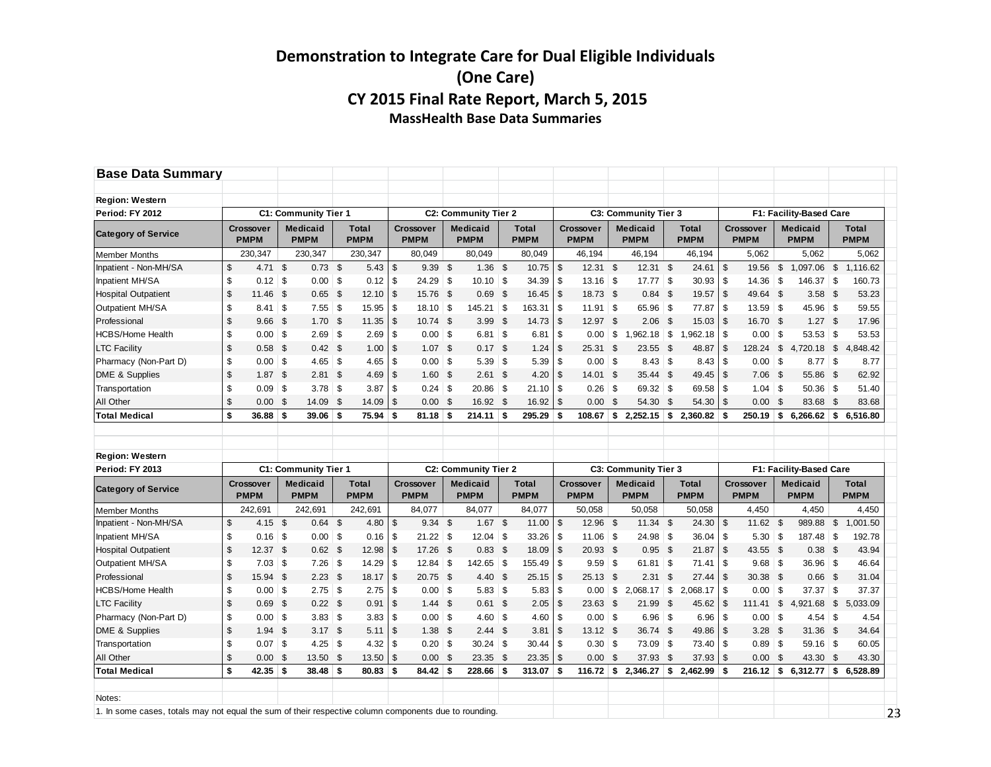| <b>Base Data Summary</b>                  |               |                                 |              |                                |    |                      |                |                                 |     |                                |      |                             |                |                                 |          |                                |      |                             |                |                                 |                |                                |          |                      |
|-------------------------------------------|---------------|---------------------------------|--------------|--------------------------------|----|----------------------|----------------|---------------------------------|-----|--------------------------------|------|-----------------------------|----------------|---------------------------------|----------|--------------------------------|------|-----------------------------|----------------|---------------------------------|----------------|--------------------------------|----------|----------------------|
|                                           |               |                                 |              |                                |    |                      |                |                                 |     |                                |      |                             |                |                                 |          |                                |      |                             |                |                                 |                |                                |          |                      |
| <b>Region: Western</b>                    |               |                                 |              |                                |    |                      |                |                                 |     |                                |      |                             |                |                                 |          |                                |      |                             |                |                                 |                |                                |          |                      |
| Period: FY 2012                           |               |                                 |              | C1: Community Tier 1           |    |                      |                |                                 |     | C2: Community Tier 2           |      |                             |                |                                 |          | C3: Community Tier 3           |      |                             |                |                                 |                | F1: Facility-Based Care        |          |                      |
| <b>Category of Service</b>                |               | Crossover<br><b>PMPM</b>        |              | <b>Medicaid</b><br><b>PMPM</b> |    | Total<br><b>PMPM</b> |                | <b>Crossover</b><br><b>PMPM</b> |     | <b>Medicaid</b><br><b>PMPM</b> |      | <b>Total</b><br><b>PMPM</b> |                | <b>Crossover</b><br><b>PMPM</b> |          | <b>Medicaid</b><br><b>PMPM</b> |      | <b>Total</b><br><b>PMPM</b> |                | Crossover<br><b>PMPM</b>        |                | <b>Medicaid</b><br><b>PMPM</b> |          | Total<br><b>PMPM</b> |
| <b>Member Months</b>                      |               | 230,347                         |              | 230,347                        |    | 230,347              |                | 80,049                          |     | 80,049                         |      | 80,049                      |                | 46,194                          |          | 46,194                         |      | 46,194                      |                | 5,062                           |                | 5,062                          |          | 5,062                |
| Inpatient - Non-MH/SA                     | \$            | 4.71                            | $\mathbb{S}$ | $0.73$ \$                      |    | 5.43                 | $\mathfrak{s}$ | 9.39 <sup>5</sup>               |     | $1.36$ \$                      |      | 10.75                       | $\mathfrak s$  | 12.31                           | \$       | $12.31$ \$                     |      | 24.61                       | ا \$           | 19.56                           | $\mathfrak s$  | 1,097.06 \$                    |          | 1.116.62             |
| Inpatient MH/SA                           | \$            | $0.12$ \$                       |              | $0.00$ \$                      |    | 0.12                 | \$             | $24.29$ \$                      |     | $10.10$ \$                     |      | 34.39                       | \$             | $13.16$ \$                      |          | $17.77$ \$                     |      | 30.93                       | \$             | $14.36$ \$                      |                | 146.37 \$                      |          | 160.73               |
| <b>Hospital Outpatient</b>                | $\mathsf{\$}$ | 11.46                           | - \$         | $0.65$ \$                      |    | 12.10                | \$             | 15.76 \$                        |     | $0.69$ \$                      |      | 16.45                       | \$             | 18.73 \$                        |          | $0.84$ \$                      |      | 19.57                       | $\sqrt{3}$     | 49.64 \$                        |                | $3.58$ \$                      |          | 53.23                |
| Outpatient MH/SA                          | \$            | 8.41                            | ∣\$          | $7.55$ \$                      |    | 15.95                | \$             | $18.10$ \$                      |     | $145.21$ \$                    |      | 163.31                      | \$             | $11.91$ \$                      |          | 65.96 \$                       |      | 77.87                       | \$             | $13.59$ \$                      |                | 45.96 \$                       |          | 59.55                |
| Professional                              | \$            | $9.66$ \$                       |              | $1.70$ \$                      |    | 11.35                | \$             | $10.74$ \$                      |     | $3.99$ \$                      |      | 14.73                       | $\mathfrak s$  | 12.97 \$                        |          | 2.06                           | - \$ | 15.03                       | -\$            | 16.70 \$                        |                | $1.27$ \$                      |          | 17.96                |
| <b>HCBS/Home Health</b>                   | \$            | $0.00$ \$                       |              | $2.69$ \$                      |    | 2.69                 | \$             | $0.00$ \$                       |     | $6.81$ \ \$                    |      | 6.81                        | \$             | $0.00$ \$                       |          | $.962.18$ \ \$                 |      | 1,962.18                    | \$             | $0.00$ \$                       |                | $53.53$ \$                     |          | 53.53                |
| <b>LTC Facility</b>                       | \$            | $0.58$ \$                       |              | $0.42$ \$                      |    | 1.00                 | \$             | $1.07$ \$                       |     | $0.17$ \$                      |      | 1.24                        | \$             | 25.31 \$                        |          | 23.55                          | - \$ | 48.87                       | \$             | 128.24                          | \$             | 4,720.18 \$                    |          | 4,848.42             |
| Pharmacy (Non-Part D)                     | \$            | $0.00$ \$                       |              | $4.65$ \$                      |    | 4.65                 | \$             | $0.00$ \ \$                     |     | $5.39$ \$                      |      | 5.39                        | \$             | $0.00$ \ \$                     |          |                                |      | 8.43                        | \$             | $0.00$ \ \$                     |                | $8.77$ \$                      |          | 8.77                 |
| DME & Supplies                            | \$            | $1.87$ \$                       |              | $2.81$ \$                      |    | 4.69                 | $\sqrt[6]{3}$  | $1.60$ \$                       |     | $2.61$ \$                      |      | 4.20                        | \$             | 14.01 \$                        |          | 35.44 \$                       |      | 49.45                       | $\sqrt{2}$     | 7.06                            | - \$           | 55.86 \$                       |          | 62.92                |
| Transportation                            | \$            | $0.09$ \$                       |              | $3.78$ \$                      |    | 3.87                 | \$             | $0.24$ \$                       |     | $20.86$ \$                     |      | 21.10                       | \$             | $0.26$ \$                       |          | $69.32$ \$                     |      | 69.58                       | \$             | $1.04$ \$                       |                | $50.36$ \$                     |          | 51.40                |
| All Other                                 | \$            | $0.00$ \$                       |              | 14.09                          | \$ | 14.09                | $\mathfrak{s}$ | 0.00 <sup>5</sup>               |     | 16.92 \$                       |      | 16.92                       | \$             | 0.00                            | \$       | 54.30                          | - \$ | 54.30                       | \$             | 0.00                            | \$             | 83.68 \$                       |          | 83.68                |
| <b>Total Medical</b>                      | \$            | 36.88                           | \$           | 39.06                          | £  | 75.94                | \$             | 81.18                           | S   | 214.11                         | -\$  | 295.29                      | \$             | 108.67                          | \$       | $2,252.15$ \$                  |      | 2,360.82                    | \$             | 250.19                          | \$             | 6,266.62                       | \$       | 6,516.80             |
| <b>Region: Western</b><br>Period: FY 2013 |               |                                 |              | C1: Community Tier 1           |    |                      |                |                                 |     | <b>C2: Community Tier 2</b>    |      |                             |                |                                 |          | C3: Community Tier 3           |      |                             |                |                                 |                | F1: Facility-Based Care        |          |                      |
| <b>Category of Service</b>                |               | <b>Crossover</b><br><b>PMPM</b> |              | <b>Medicaid</b><br><b>PMPM</b> |    | Total<br><b>PMPM</b> |                | <b>Crossover</b><br><b>PMPM</b> |     | <b>Medicaid</b><br><b>PMPM</b> |      | <b>Total</b><br><b>PMPM</b> |                | <b>Crossover</b><br><b>PMPM</b> |          | <b>Medicaid</b><br><b>PMPM</b> |      | <b>Total</b><br><b>PMPM</b> |                | <b>Crossover</b><br><b>PMPM</b> |                | <b>Medicaid</b><br><b>PMPM</b> |          | Total<br><b>PMPM</b> |
| <b>Member Months</b>                      |               | 242,691                         |              | 242,691                        |    | 242,691              |                | 84,077                          |     | 84,077                         |      | 84,077                      |                | 50,058                          |          | 50,058                         |      | 50,058                      |                | 4,450                           |                | 4,450                          |          | 4,450                |
| Inpatient - Non-MH/SA                     | \$            | $4.15$ \$                       |              | $0.64$ \$                      |    | 4.80                 | $\mathfrak{s}$ | $9.34$ \$                       |     | $1.67$ \$                      |      | 11.00                       | \$             | 12.96                           | <b>S</b> | $11.34$ \$                     |      | 24.30                       | $\mathfrak{s}$ | 11.62                           | $\mathfrak{S}$ | 989.88 \$                      |          | 1.001.50             |
| Inpatient MH/SA                           | \$            | $0.16$ \$                       |              | $0.00$ \$                      |    | 0.16                 | \$             | $21.22$ \$                      |     | $12.04$ \ \$                   |      | 33.26                       | \$             | $11.06$ \$                      |          | $24.98$ \$                     |      | 36.04                       | \$             | 5.30                            | \$             | $187.48$ \$                    |          | 192.78               |
| <b>Hospital Outpatient</b>                | \$            | 12.37                           | - \$         | $0.62$ \$                      |    | 12.98                | \$             | 17.26 \$                        |     | $0.83$ \$                      |      | 18.09                       | $\mathfrak s$  | $20.93$ \$                      |          | $0.95$ \$                      |      | 21.87                       | $\sqrt{3}$     | 43.55 \$                        |                | $0.38$ \$                      |          | 43.94                |
| Outpatient MH/SA                          | \$            | $7.03$ \$                       |              | $7.26$ \$                      |    | 14.29                | \$             | $12.84$ \$                      |     | $142.65$ \$                    |      | 155.49                      | \$             | $9.59$ \$                       |          | $61.81$ \$                     |      | 71.41                       | \$             | $9.68$ \$                       |                | 36.96 \$                       |          | 46.64                |
| Professional                              | \$            | 15.94 \$                        |              | $2.23$ \$                      |    | 18.17                | $\mathfrak{s}$ | 20.75 \$                        |     | 4.40~\$                        |      | 25.15                       | $\mathfrak{S}$ | 25.13 \$                        |          | 2.31                           | \$   | 27.44                       | \$             | 30.38 \$                        |                | $0.66$ \$                      |          | 31.04                |
| HCBS/Home Health                          | \$            | $0.00$ \ \$                     |              | $2.75$ \$                      |    | 2.75                 | -\$            | $0.00$ \ \$                     |     |                                |      | 5.83                        | \$             | $0.00$ \ \$                     |          | $2,068.17$ \$                  |      | 2,068.17                    | \$             | $0.00$ \$                       |                | $37.37$ \$                     |          | 37.37                |
| <b>LTC Facility</b>                       | \$            | $0.69$ \$                       |              | $0.22$ \$                      |    | 0.91                 | \$             | $1.44$ \$                       |     | $0.61$ \$                      |      | 2.05                        | \$             | 23.63 \$                        |          | 21.99                          | - \$ | 45.62                       | \$             | 111.41                          | \$             | 4,921.68                       | \$       | 5,033.09             |
| Pharmacy (Non-Part D)                     | \$            | $0.00$ \$                       |              | $3.83$ \$                      |    | 3.83                 | \$             | $0.00$ \$                       |     | $4.60$ \$                      |      | 4.60                        | \$             | $0.00$ \ \$                     |          | $6.96$ \$                      |      | 6.96                        | \$             | $0.00$ \$                       |                | $4.54$ \$                      |          | 4.54                 |
| DME & Supplies                            | \$            | 1.94                            | - \$         | $3.17$ \$                      |    | 5.11                 | \$             | $1.38$ \$                       |     | $2.44$ \$                      |      | 3.81                        | \$             | $13.12$ \$                      |          | 36.74 \$                       |      | 49.86                       | \$             | 3.28                            | \$             | 31.36 \$                       |          | 34.64                |
| Transportation                            | \$            | 0.07                            | $\vert$ \$   | $4.25$ \$                      |    | 4.32                 | \$             | $0.20$ \$                       |     | $30.24$ \$                     |      | 30.44                       | \$             | $0.30$ \$                       |          | $73.09$ \$                     |      | 73.40                       | <b>S</b>       | $0.89$ \$                       |                | $59.16$ \$                     |          | 60.05                |
| All Other                                 | \$            | 0.00                            | - \$         | 13.50 \$                       |    | 13.50                | \$             | 0.00 <sup>5</sup>               |     | 23.35                          | - \$ | 23.35                       | \$             | 0.00                            | \$       | 37.93                          | \$   | 37.93                       | \$             | 0.00                            | \$             | 43.30 \$                       |          | 43.30                |
| <b>Total Medical</b>                      | \$            | 42.35                           | \$           | 38.48                          | \$ | 80.83                | \$             | 84.42                           | -\$ | 228.66                         | - \$ | 313.07                      | \$             | 116.72                          | \$       | 2,346.27                       | \$   | 2,462.99                    | \$             | 216.12                          | \$             | 6,312.77                       | <b>S</b> | 6.528.89             |
|                                           |               |                                 |              |                                |    |                      |                |                                 |     |                                |      |                             |                |                                 |          |                                |      |                             |                |                                 |                |                                |          |                      |
| Notes:                                    |               |                                 |              |                                |    |                      |                |                                 |     |                                |      |                             |                |                                 |          |                                |      |                             |                |                                 |                |                                |          |                      |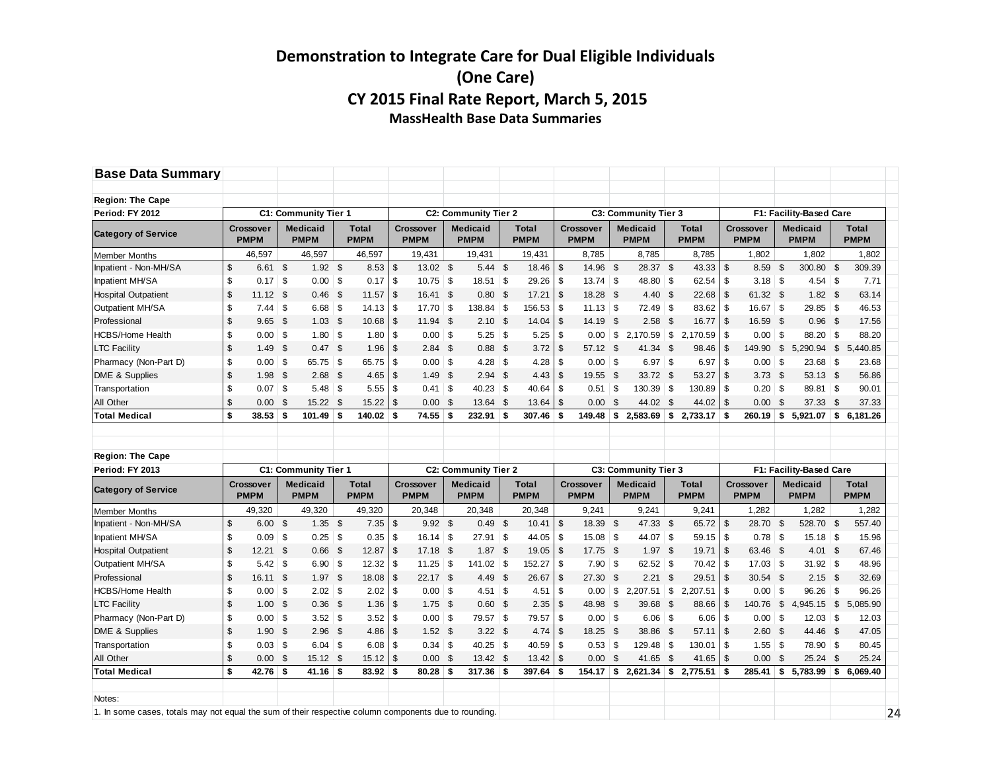| <b>Base Data Summary</b>                                                                              |                         |                                 |                                |                |                             |               |                                 |                |                                |                |                             |               |                                 |                |                                |              |                             |                         |                                 |      |                                |               |                      |
|-------------------------------------------------------------------------------------------------------|-------------------------|---------------------------------|--------------------------------|----------------|-----------------------------|---------------|---------------------------------|----------------|--------------------------------|----------------|-----------------------------|---------------|---------------------------------|----------------|--------------------------------|--------------|-----------------------------|-------------------------|---------------------------------|------|--------------------------------|---------------|----------------------|
| <b>Region: The Cape</b>                                                                               |                         |                                 |                                |                |                             |               |                                 |                |                                |                |                             |               |                                 |                |                                |              |                             |                         |                                 |      |                                |               |                      |
| Period: FY 2012                                                                                       |                         |                                 | C1: Community Tier 1           |                |                             |               |                                 |                | <b>C2: Community Tier 2</b>    |                |                             |               |                                 |                | C3: Community Tier 3           |              |                             |                         |                                 |      | F1: Facility-Based Care        |               |                      |
| <b>Category of Service</b>                                                                            |                         | <b>Crossover</b><br><b>PMPM</b> | <b>Medicaid</b><br><b>PMPM</b> |                | <b>Total</b><br><b>PMPM</b> |               | <b>Crossover</b><br><b>PMPM</b> |                | <b>Medicaid</b><br><b>PMPM</b> |                | <b>Total</b><br><b>PMPM</b> |               | <b>Crossover</b><br><b>PMPM</b> |                | <b>Medicaid</b><br><b>PMPM</b> |              | <b>Total</b><br><b>PMPM</b> |                         | <b>Crossover</b><br><b>PMPM</b> |      | <b>Medicaid</b><br><b>PMPM</b> |               | Total<br><b>PMPM</b> |
| <b>Member Months</b>                                                                                  |                         | 46,597                          | 46,597                         |                | 46,597                      |               | 19,431                          |                | 19,431                         |                | 19,431                      |               | 8,785                           |                | 8,785                          |              | 8,785                       |                         | 1,802                           |      | 1.802                          |               | 1,802                |
| Inpatient - Non-MH/SA                                                                                 | $\sqrt[6]{\frac{1}{2}}$ | $6.61$ \$                       | 1.92                           | <b>S</b>       | 8.53                        | \$            | 13.02                           | $\mathfrak s$  | 5.44                           | $\mathfrak{S}$ | 18.46                       | $\mathsf{\$}$ | 14.96                           | $\mathfrak{S}$ | 28.37                          | -\$          | 43.33                       | $\sqrt[6]{\frac{1}{2}}$ | 8.59                            | - \$ | 300.80                         | $\mathsf{\$}$ | 309.39               |
| Inpatient MH/SA                                                                                       | \$                      | $0.17$ \\$                      | $0.00$ \$                      |                | 0.17                        | \$            | 10.75                           | \$             | $18.51$ \$                     |                | 29.26                       | -\$           | 13.74                           | $\vert$ \$     | 48.80 \$                       |              | 62.54                       | \$                      | $3.18$ \ \$                     |      | 4.54                           | \$            | 7.71                 |
| <b>Hospital Outpatient</b>                                                                            | $\sqrt{2}$              | $11.12$ \$                      | 0.46                           | \$             | 11.57                       | \$            | 16.41                           | \$             | 0.80                           | - \$           | 17.21                       | -\$           | 18.28                           | - \$           | $4.40~{\rm s}$                 |              | 22.68                       | \$                      | 61.32 \$                        |      | $1.82$ \$                      |               | 63.14                |
| Outpatient MH/SA                                                                                      | \$                      | $7.44$ \ \$                     | 6.68                           | \$             | 14.13                       | \$            | 17.70                           | \$             | 138.84 \$                      |                | 156.53                      | \$            | $11.13$ \ \$                    |                | $72.49$ \$                     |              | 83.62                       | \$                      | $16.67$ \$                      |      | $29.85$ \$                     |               | 46.53                |
| Professional                                                                                          | \$                      | $9.65$ \$                       | 1.03                           | <b>S</b>       | 10.68                       | $\mathsf{\$}$ | 11.94                           | $\mathfrak{s}$ | $2.10$ \$                      |                | 14.04                       | -\$           | 14.19                           | \$             | 2.58                           | - \$         | 16.77                       | $\mathfrak{s}$          | 16.59 \$                        |      | 0.96 <sup>5</sup>              |               | 17.56                |
| <b>HCBS/Home Health</b>                                                                               | \$                      | $0.00$ \ \$                     | 1.80                           | \$             | 1.80                        | \$            | 0.00                            | \$             | $5.25$ \$                      |                | 5.25                        | -\$           | 0.00                            | \$             | $2,170.59$ \$                  |              | 2.170.59                    | \$                      | $0.00$ \ \$                     |      | 88.20 \$                       |               | 88.20                |
| <b>LTC Facility</b>                                                                                   | $\sqrt[6]{\frac{1}{2}}$ | $1.49$ \$                       | $0.47$ \$                      |                | 1.96                        | \$            | 2.84                            | \$             | $0.88$ \$                      |                | 3.72                        | -\$           | 57.12                           | \$             | 41.34 \$                       |              | 98.46                       | \$                      | 149.90 \$                       |      | 5,290.94                       | \$            | 5,440.85             |
| Pharmacy (Non-Part D)                                                                                 | \$                      | $0.00$ \ \$                     | 65.75                          | \$             | 65.75                       | \$            | 0.00                            | \$             |                                |                | 4.28                        | \$            | $0.00$ \ \$                     |                | $6.97$ \$                      |              | 6.97                        | \$                      | $0.00$ \\$                      |      | $23.68$ \$                     |               | 23.68                |
| DME & Supplies                                                                                        | \$                      | $1.98$ \$                       | 2.68                           | \$             | 4.65                        | \$            | 1.49                            | \$             | $2.94$ \$                      |                | 4.43                        | -\$           | 19.55                           | -\$            | $33.72$ \$                     |              | 53.27                       | \$                      | 3.73 <sup>5</sup>               |      | 53.13 \$                       |               | 56.86                |
| Transportation                                                                                        | \$                      | 0.07                            | \$<br>5.48                     | \$             | 5.55                        | \$            | 0.41                            | \$             | $40.23$ \$                     |                | 40.64                       | \$            | 0.51                            | <b>S</b>       | $130.39$ \$                    |              | 130.89                      | \$                      | $0.20$ \ \$                     |      | 89.81                          | \$            | 90.01                |
| All Other                                                                                             | \$                      | 0.00                            | \$<br>15.22                    | $\mathfrak{s}$ | 15.22                       | \$            | 0.00                            | \$             | 13.64                          | \$             | 13.64                       | \$            | 0.00                            | \$             | 44.02                          | -\$          | 44.02                       | \$                      | 0.00                            | -\$  | 37.33                          | \$            | 37.33                |
| <b>Total Medical</b>                                                                                  | \$                      | 38.53                           | \$<br>101.49                   | \$             | 140.02                      | \$            | 74.55                           | \$             | 232.91                         | -\$            | 307.46                      | \$            | 149.48                          | \$             | $2,583.69$ \$                  |              | 2,733.17                    | \$                      | 260.19                          | \$   | 5,921.07                       | \$            | 6,181.26             |
| <b>Region: The Cape</b><br>Period: FY 2013                                                            |                         |                                 | C1: Community Tier 1           |                |                             |               |                                 |                | <b>C2: Community Tier 2</b>    |                |                             |               |                                 |                | C3: Community Tier 3           |              |                             |                         |                                 |      | F1: Facility-Based Care        |               |                      |
|                                                                                                       |                         | <b>Crossover</b>                | <b>Medicaid</b>                |                | <b>Total</b>                |               | <b>Crossover</b>                |                | <b>Medicaid</b>                |                | <b>Total</b>                |               | <b>Crossover</b>                |                | <b>Medicaid</b>                |              | <b>Total</b>                |                         | <b>Crossover</b>                |      | <b>Medicaid</b>                |               | Total                |
| <b>Category of Service</b>                                                                            |                         | <b>PMPM</b>                     | <b>PMPM</b>                    |                | <b>PMPM</b>                 |               | <b>PMPM</b>                     |                | <b>PMPM</b>                    |                | <b>PMPM</b>                 |               | <b>PMPM</b>                     |                | <b>PMPM</b>                    |              | <b>PMPM</b>                 |                         | <b>PMPM</b>                     |      | <b>PMPM</b>                    |               | <b>PMPM</b>          |
| <b>Member Months</b>                                                                                  |                         | 49.320                          | 49.320                         |                | 49.320                      |               | 20.348                          |                | 20.348                         |                | 20.348                      |               | 9.241                           |                | 9.241                          |              | 9.241                       |                         | 1.282                           |      | 1.282                          |               | 1.282                |
| Inpatient - Non-MH/SA                                                                                 | $\mathsf{\$}$           | 6.00                            | \$<br>1.35                     | $\mathfrak{S}$ | 7.35                        | \$            | 9.92                            | $\mathfrak{s}$ | 0.49                           | \$             | 10.41                       | $\mathsf{\$}$ | 18.39                           | \$             | 47.33 \$                       |              | 65.72                       | $\mathfrak{s}$          | 28.70 \$                        |      | 528.70                         | \$            | 557.40               |
| Inpatient MH/SA                                                                                       | \$                      | $0.09$ \ \$                     | 0.25                           | \$             | 0.35                        | \$            | 16.14                           | \$             | $27.91$ \$                     |                | 44.05                       | -\$           | $15.08$ \ \$                    |                | 44.07                          | $\mathsf{S}$ | 59.15                       | \$                      |                                 |      | $15.18$ \$                     |               | 15.96                |
| <b>Hospital Outpatient</b>                                                                            | \$                      | $12.21$ \$                      | 0.66                           | \$             | 12.87                       | \$            | 17.18                           | \$             | 1.87                           | -\$            | 19.05                       | -\$           | 17.75                           | - \$           | $1.97$ \$                      |              | 19.71                       | \$                      | 63.46 \$                        |      | $4.01 \quad $$                 |               | 67.46                |
| Outpatient MH/SA                                                                                      | \$                      | $5.42$ \$                       | 6.90                           | \$             | 12.32                       | \$            | 11.25                           | \$             | $141.02$ \$                    |                | 152.27                      | \$            | 7.90                            | ∣\$            | $62.52$ \$                     |              | 70.42                       | \$                      | $17.03$ \$                      |      | $31.92$ \$                     |               | 48.96                |
| Professional                                                                                          | $\sqrt{2}$              | 16.11 \$                        | 1.97                           | \$             | 18.08                       | \$            | 22.17                           | \$             | $4.49$ \$                      |                | 26.67                       | \$            | 27.30                           | \$             | 2.21                           | - \$         | 29.51                       | \$                      | $30.54$ \$                      |      | $2.15$ \$                      |               | 32.69                |
| <b>HCBS/Home Health</b>                                                                               | \$                      | $0.00$ \ \$                     | 2.02                           | \$             | 2.02                        | \$            | 0.00                            | \$             | $4.51$ \$                      |                | 4.51                        | \$            | 0.00                            | \$             | $2,207.51$ \$                  |              | 2.207.51                    | \$                      | $0.00$ \$                       |      | $96.26$ \$                     |               | 96.26                |
| <b>LTC Facility</b>                                                                                   | \$                      | $1.00$ \$                       | 0.36                           | \$             | 1.36                        | \$            | 1.75                            | \$             | $0.60$ \$                      |                | 2.35                        | -\$           | 48.98                           | \$             | 39.68                          | - \$         | 88.66                       | \$                      | 140.76 \$                       |      | 4,945.15 \$                    |               | 5,085.90             |
| Pharmacy (Non-Part D)                                                                                 | \$                      | $0.00$ \$                       | 3.52                           | \$             | 3.52                        | \$            | 0.00                            | \$             | 79.57 \$                       |                | 79.57                       | \$            | 0.00                            | ∣\$            | $6.06$ \ \$                    |              | 6.06                        | \$                      | $0.00$ \$                       |      | $12.03$ \$                     |               | 12.03                |
| DME & Supplies                                                                                        | $\mathsf{\$}$           | $1.90$ \$                       | 2.96                           | \$             | 4.86                        | \$            | 1.52                            | \$             | $3.22$ \$                      |                | 4.74                        | \$            | 18.25                           | \$             | 38.86                          | - \$         | 57.11                       | \$                      | $2.60$ \$                       |      | 44.46 \$                       |               | 47.05                |
| Transportation                                                                                        | \$                      | $0.03 \mid$ \$                  | $6.04$ \$                      |                | 6.08                        | \$            | 0.34                            | \$             | $40.25$ \$                     |                | 40.59                       | \$            | $0.53$ \$                       |                | $129.48$ \ \$                  |              | 130.01                      | \$                      | $1.55 \,   \, $ \$              |      | 78.90 \$                       |               | 80.45                |
| All Other                                                                                             | $\mathsf{\$}$           | $0.00$ \$                       | 15.12                          | \$             | 15.12                       | \$            | 0.00                            | \$             | 13.42 \$                       |                | 13.42                       | \$            | 0.00                            | $\mathfrak{S}$ | 41.65                          | - \$         | 41.65                       | \$                      | 0.00                            | - \$ | 25.24                          | \$            | 25.24                |
| <b>Total Medical</b>                                                                                  | \$                      | 42.76                           | \$<br>41.16                    | \$             | 83.92                       | \$            | 80.28                           | \$             | 317.36                         | -\$            | 397.64                      | \$            | 154.17                          | \$             | 2,621.34                       | \$           | 2,775.51                    | \$                      | 285.41                          | \$   | 5.783.99                       | \$            | 6.069.40             |
|                                                                                                       |                         |                                 |                                |                |                             |               |                                 |                |                                |                |                             |               |                                 |                |                                |              |                             |                         |                                 |      |                                |               |                      |
| Notes:                                                                                                |                         |                                 |                                |                |                             |               |                                 |                |                                |                |                             |               |                                 |                |                                |              |                             |                         |                                 |      |                                |               |                      |
| 1. In some cases, totals may not equal the sum of their respective column components due to rounding. |                         |                                 |                                |                |                             |               |                                 |                |                                |                |                             |               |                                 |                |                                |              |                             |                         |                                 |      |                                |               | 24                   |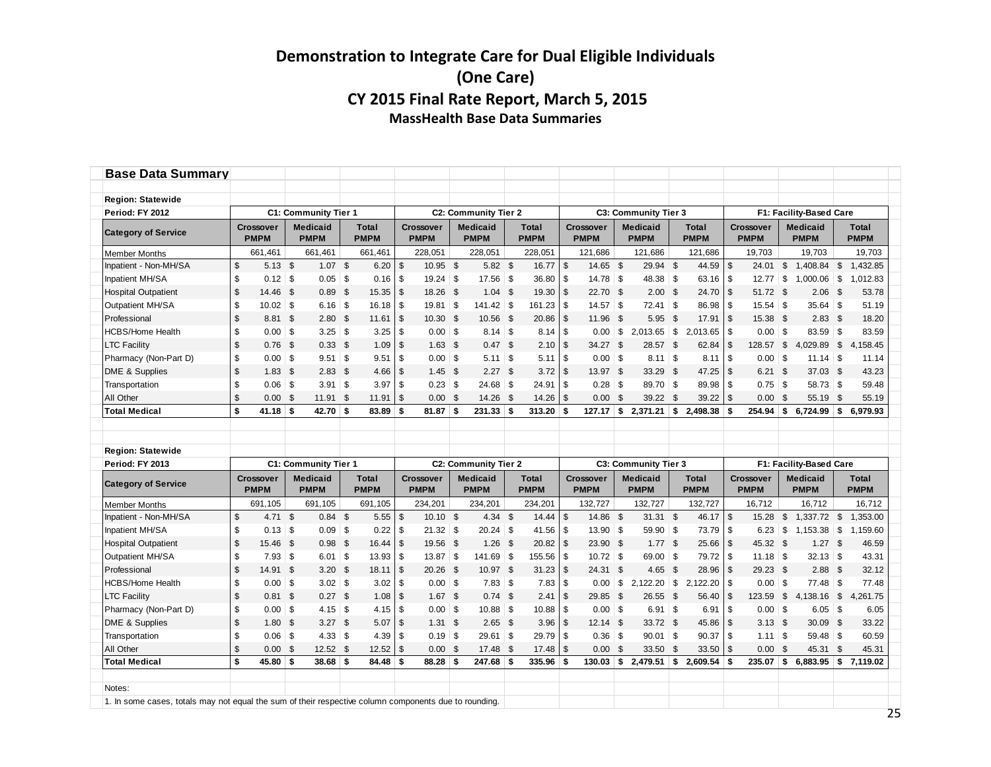| <b>Base Data Summary</b>                                                                              |                |                                 |          |                                |              |                             |                           |                                 |      |                                |     |                             |                |                                 |                |                                |              |                             |               |                          |               |                                |               |                             |
|-------------------------------------------------------------------------------------------------------|----------------|---------------------------------|----------|--------------------------------|--------------|-----------------------------|---------------------------|---------------------------------|------|--------------------------------|-----|-----------------------------|----------------|---------------------------------|----------------|--------------------------------|--------------|-----------------------------|---------------|--------------------------|---------------|--------------------------------|---------------|-----------------------------|
|                                                                                                       |                |                                 |          |                                |              |                             |                           |                                 |      |                                |     |                             |                |                                 |                |                                |              |                             |               |                          |               |                                |               |                             |
| <b>Region: Statewide</b>                                                                              |                |                                 |          |                                |              |                             |                           |                                 |      |                                |     |                             |                |                                 |                |                                |              |                             |               |                          |               |                                |               |                             |
| Period: FY 2012                                                                                       |                |                                 |          | C1: Community Tier 1           |              |                             |                           |                                 |      | C2: Community Tier 2           |     |                             |                |                                 |                | C3: Community Tier 3           |              |                             |               |                          |               | F1: Facility-Based Care        |               |                             |
| <b>Category of Service</b>                                                                            |                | <b>Crossover</b><br><b>PMPM</b> |          | <b>Medicaid</b><br><b>PMPM</b> |              | <b>Total</b><br><b>PMPM</b> |                           | <b>Crossover</b><br><b>PMPM</b> |      | <b>Medicaid</b><br><b>PMPM</b> |     | <b>Total</b><br><b>PMPM</b> |                | <b>Crossover</b><br><b>PMPM</b> |                | <b>Medicaid</b><br><b>PMPM</b> |              | <b>Total</b><br><b>PMPM</b> |               | Crossover<br><b>PMPM</b> |               | <b>Medicaid</b><br><b>PMPM</b> |               | <b>Total</b><br><b>PMPM</b> |
| <b>Member Months</b>                                                                                  |                | 661,461                         |          | 661,461                        |              | 661,461                     |                           | 228.051                         |      | 228.051                        |     | 228,051                     |                | 121.686                         |                | 121.686                        |              | 121.686                     |               | 19.703                   |               | 19.703                         |               | 19.703                      |
| Inpatient - Non-MH/SA                                                                                 | \$             | $5.13$ \$                       |          | 1.07                           | \$           | 6.20                        | $\sqrt[6]{\frac{1}{2}}$   | 10.95 \$                        |      | $5.82$ \$                      |     | 16.77                       | $\mathfrak{F}$ | 14.65 \$                        |                | 29.94 \$                       |              | 44.59                       | \$            | 24.01                    | \$            | 1,408.84                       | $\sqrt[6]{2}$ | 1,432.85                    |
| Inpatient MH/SA                                                                                       | \$             | $0.12$ \$                       |          | 0.05                           | $\vert$ \$   | 0.16                        | \$                        | $19.24$ \$                      |      | $17.56$ \$                     |     | 36.80                       | \$             | $14.78$ \$                      |                | 48.38 \$                       |              | 63.16                       | \$            | 12.77                    | \$            | $1,000.06$ \$                  |               | 1,012.83                    |
| <b>Hospital Outpatient</b>                                                                            | $$\mathbb{S}$$ | 14.46                           | \$       | 0.89                           | - \$         | 15.35                       | $\mathfrak{s}$            | 18.26 \$                        |      | $1.04$ \$                      |     | 19.30                       | \$             | 22.70 \$                        |                | $2.00\quad$ \$                 |              | 24.70                       | \$            | 51.72 \$                 |               | 2.06                           | \$            | 53.78                       |
| Outpatient MH/SA                                                                                      | \$             | $10.02$ \$                      |          | $6.16$ \ \$                    |              | 16.18                       | \$                        | $19.81$ \$                      |      | $141.42$ \$                    |     | 161.23                      | \$             | 14.57                           | \$             | $72.41$ \$                     |              | 86.98                       | \$            | 15.54                    | \$            | $35.64$ \$                     |               | 51.19                       |
| Professional                                                                                          | \$             | 8.81 \$                         |          | 2.80                           | - \$         | 11.61                       | $\mathfrak{s}$            | 10.30 <sup>5</sup>              |      | 10.56 \$                       |     | 20.86                       | \$             | 11.96                           | \$             | 5.95                           | $\mathbf{s}$ | 17.91                       | \$            | 15.38 \$                 |               | $2.83$ \$                      |               | 18.20                       |
| <b>HCBS/Home Health</b>                                                                               | \$             | $0.00$ \$                       |          | 3.25                           | $\vert$ \$   | 3.25                        | \$                        | $0.00$ \$                       |      | $8.14$ \ \$                    |     | 8.14                        | l \$           | 0.00                            | \$             | $2,013.65$ \$                  |              | 2.013.65                    | \$            | $0.00$ \$                |               | 83.59 \$                       |               | 83.59                       |
| <b>LTC Facility</b>                                                                                   | \$             | 0.76                            | <b>S</b> | 0.33                           | \$           | 1.09                        | $\boldsymbol{\mathsf{s}}$ | $1.63$ \$                       |      | 0.47 S                         |     | 2.10                        | l \$           | 34.27                           | $\mathfrak{S}$ | 28.57 \$                       |              | 62.84                       | \$            | 128.57                   | \$            | 4,029.89                       | \$            | 4,158.45                    |
| Pharmacy (Non-Part D)                                                                                 | \$             | $0.00$ \$                       |          |                                |              | 9.51                        | \$                        | $0.00$ \$                       |      | $5.11$ \\$                     |     | 5.11                        | <b>S</b>       | $0.00$ \$                       |                | $8.11$ \ \$                    |              | 8.11                        | \$            | $0.00$ \$                |               | $11.14$ \ \$                   |               | 11.14                       |
| DME & Supplies                                                                                        | \$             | $1.83$ \$                       |          | $2.83$ \$                      |              | 4.66                        | $\sqrt{2}$                | $1.45$ \$                       |      | $2.27$ \$                      |     | 3.72                        | \$             | 13.97 \$                        |                | 33.29 \$                       |              | 47.25                       | \$            | 6.21                     | \$            | 37.03 \$                       |               | 43.23                       |
| Transportation                                                                                        | \$             | $0.06$ \$                       |          | $3.91$ \\$                     |              | 3.97                        | \$                        | $0.23$ \$                       |      | $24.68$ \$                     |     | 24.91                       | - \$           | $0.28$ \$                       |                | 89.70 \$                       |              | 89.98                       | \$            | $0.75$ \$                |               | 58.73 \$                       |               | 59.48                       |
| All Other                                                                                             | \$             | 0.00                            | \$       | 11.91                          | \$           | 11.91                       | $\boldsymbol{\mathsf{s}}$ | $0.00$ \$                       |      | 14.26 \$                       |     | 14.26                       | $\mathbf{s}$   | 0.00                            | $\mathfrak{s}$ | 39.22                          | <b>S</b>     | 39.22                       | \$            | 0.00                     | \$            | 55.19                          | <b>S</b>      | 55.19                       |
| <b>Total Medical</b>                                                                                  | \$             | $41.18$ \$                      |          | $42.70$ \$                     |              | 83.89                       | \$                        | 81.87                           | \$   | 231.33                         | -\$ | 313.20                      | \$             | 127.17                          | \$             | 2,371.21                       | -\$          | 2,498.38                    | \$            | 254.94                   | \$            | 6,724.99                       | \$            | 6,979.93                    |
|                                                                                                       |                |                                 |          |                                |              |                             |                           |                                 |      |                                |     |                             |                |                                 |                |                                |              |                             |               |                          |               |                                |               |                             |
|                                                                                                       |                |                                 |          |                                |              |                             |                           |                                 |      |                                |     |                             |                |                                 |                |                                |              |                             |               |                          |               |                                |               |                             |
| <b>Region: Statewide</b>                                                                              |                |                                 |          |                                |              |                             |                           |                                 |      |                                |     |                             |                |                                 |                |                                |              |                             |               |                          |               |                                |               |                             |
| Period: FY 2013                                                                                       |                |                                 |          | C1: Community Tier 1           |              |                             |                           |                                 |      | <b>C2: Community Tier 2</b>    |     |                             |                |                                 |                | C3: Community Tier 3           |              |                             |               |                          |               | F1: Facility-Based Care        |               |                             |
| <b>Category of Service</b>                                                                            |                | Crossover<br><b>PMPM</b>        |          | <b>Medicaid</b><br><b>PMPM</b> |              | <b>Total</b><br><b>PMPM</b> |                           | <b>Crossover</b><br><b>PMPM</b> |      | <b>Medicaid</b><br><b>PMPM</b> |     | <b>Total</b><br><b>PMPM</b> |                | <b>Crossover</b><br><b>PMPM</b> |                | <b>Medicaid</b><br><b>PMPM</b> |              | <b>Total</b><br><b>PMPM</b> |               | Crossover<br><b>PMPM</b> |               | <b>Medicaid</b><br><b>PMPM</b> |               | Total<br><b>PMPM</b>        |
| <b>Member Months</b>                                                                                  |                | 691,105                         |          | 691,105                        |              | 691,105                     |                           | 234,201                         |      | 234,201                        |     | 234,201                     |                | 132,727                         |                | 132,727                        |              | 132,727                     |               | 16,712                   |               | 16,712                         |               | 16,712                      |
| Inpatient - Non-MH/SA                                                                                 | \$             | $4.71$ \$                       |          | $0.84$ \$                      |              | 5.55                        | $\mathsf{\$}$             | $10.10$ \$                      |      | $4.34$ \$                      |     | 14.44                       | \$             | 14.86                           | \$             | $31.31$ \$                     |              | 46.17                       | $\sqrt[6]{2}$ | 15.28                    | \$            | 1,337.72 \$                    |               | 1,353.00                    |
| Inpatient MH/SA                                                                                       | \$             | $0.13$ \$                       |          | $0.09$ \ \$                    |              | 0.22                        | \$                        | $21.32$ \$                      |      | $20.24$ \$                     |     | 41.56                       | - \$           | $13.90$ \$                      |                | $59.90$ \$                     |              | 73.79                       | \$            | 6.23                     | \$            | $1,153.38$ \$                  |               | 1,159.60                    |
| <b>Hospital Outpatient</b>                                                                            | \$             | 15.46                           | - \$     | 0.98                           | - \$         | 16.44                       | $\mathfrak{s}$            | 19.56 \$                        |      | $1.26$ \$                      |     | 20.82                       | $\mathbf{s}$   | 23.90                           | $\mathfrak{F}$ | 1.77S                          |              | 25.66                       | \$            | 45.32 \$                 |               | $1.27$ \$                      |               | 46.59                       |
| Outpatient MH/SA                                                                                      | \$             | $7.93$ \$                       |          | 6.01                           | $\mathsf{S}$ | 13.93                       | \$                        | $13.87$ \$                      |      | $141.69$ \$                    |     | 155.56                      | l \$           | 10.72                           | $\mathbf{s}$   | 69.00 \$                       |              | 79.72                       | \$            |                          |               | $32.13$ \$                     |               | 43.31                       |
| Professional                                                                                          | \$             | 14.91 \$                        |          | $3.20\ 5$                      |              | 18.11                       | $\boldsymbol{\mathsf{s}}$ | $20.26$ \$                      |      | 10.97 \$                       |     | 31.23                       | \$             | 24.31 \$                        |                | $4.65$ \$                      |              | 28.96                       | \$            | 29.23 \$                 |               | $2.88$ \$                      |               | 32.12                       |
| <b>HCBS/Home Health</b>                                                                               | \$             | $0.00$ \$                       |          | $3.02$ \$                      |              | 3.02                        | \$                        | $0.00$ \$                       |      | $7.83$ \$                      |     | 7.83                        | \$             | 0.00                            | \$             | $2,122.20$ \$                  |              | 2,122.20                    | \$            | $0.00$ \$                |               | 77.48 \$                       |               | 77.48                       |
| <b>LTC Facility</b>                                                                                   | \$             | $0.81$ \$                       |          | $0.27$ \$                      |              | 1.08                        | $\mathfrak{s}$            | $1.67$ \$                       |      | $0.74$ \$                      |     | 2.41                        | \$             | 29.85                           | - \$           | 26.55 \$                       |              | 56.40                       | \$            | 123.59                   | \$            | 4,138.16 \$                    |               | 4,261.75                    |
| Pharmacy (Non-Part D)                                                                                 | \$             | $0.00$ \$                       |          | 4.15                           | $\vert$ \$   | 4.15                        | \$                        | $0.00$ \$                       |      | $10.88$ \$                     |     | 10.88                       | <b>S</b>       | $0.00$ \$                       |                | $6.91$ \$                      |              | 6.91                        | \$            | $0.00$ \$                |               | $6.05$ \ \$                    |               | 6.05                        |
| DME & Supplies                                                                                        | \$             | 1.80                            | \$       | 3.27                           | - \$         | 5.07                        | $\boldsymbol{\mathsf{S}}$ | $1.31 \quad $$                  |      | $2.65$ \$                      |     | 3.96                        | $\mathbf{s}$   | 12.14                           | $\mathfrak{F}$ | 33.72 \$                       |              | 45.86                       | \$            | $3.13$ \$                |               | 30.09 \$                       |               | 33.22                       |
| Transportation                                                                                        | \$             | $0.06$ \$                       |          |                                |              | 4.39                        | \$                        | $0.19$ \$                       |      | $29.61$ \$                     |     | 29.79                       | - \$           | $0.36$ \$                       |                | $90.01$ \$                     |              | 90.37                       | \$            | $1.11$ \ \$              |               | 59.48 \$                       |               | 60.59                       |
| All Other                                                                                             | \$             | 0.00                            | - \$     | 12.52                          | \$           | 12.52                       | $\sqrt{3}$                | 0.00 <sup>5</sup>               |      | 17.48 \$                       |     | 17.48                       | \$             | 0.00                            | -\$            | 33.50                          | -\$          | 33.50                       | \$            | 0.00                     | $\mathsf{\$}$ | 45.31                          | \$            | 45.31                       |
| <b>Total Medical</b>                                                                                  | \$             | $45.80$ \$                      |          | $38.68$ \$                     |              | 84.48                       | \$                        | 88.28                           | - \$ | 247.68                         | -5  | 335.96                      | S              | 130.03                          | \$             | 2,479.51                       | -\$          | 2.609.54                    | \$            | 235.07                   | s.            | 6.883.95                       | ∣\$.          | 7.119.02                    |
|                                                                                                       |                |                                 |          |                                |              |                             |                           |                                 |      |                                |     |                             |                |                                 |                |                                |              |                             |               |                          |               |                                |               |                             |
| Notes:                                                                                                |                |                                 |          |                                |              |                             |                           |                                 |      |                                |     |                             |                |                                 |                |                                |              |                             |               |                          |               |                                |               |                             |
| 1. In some cases, totals may not equal the sum of their respective column components due to rounding. |                |                                 |          |                                |              |                             |                           |                                 |      |                                |     |                             |                |                                 |                |                                |              |                             |               |                          |               |                                |               |                             |